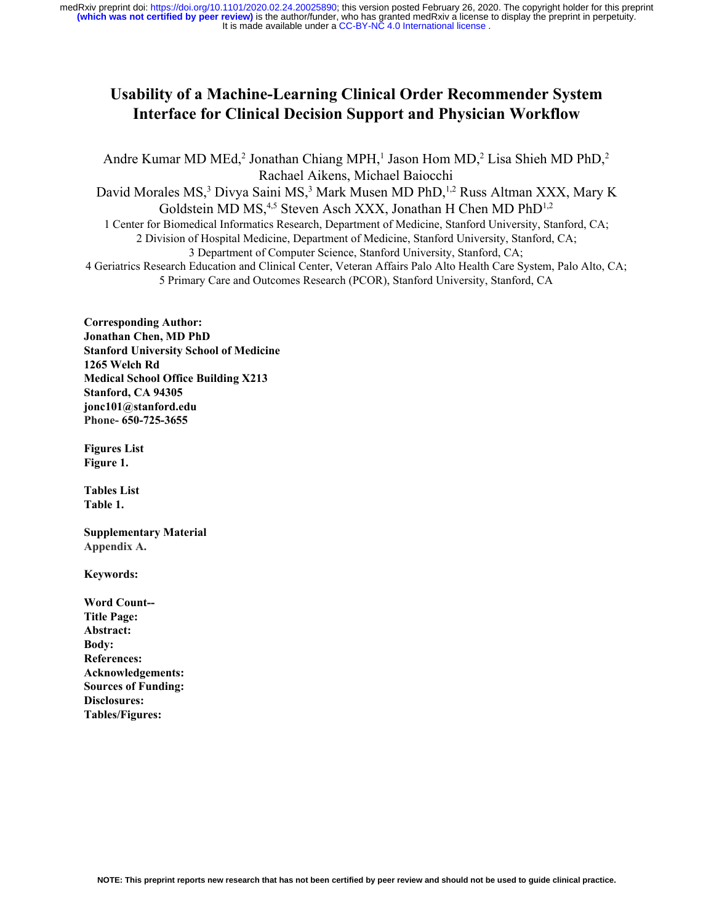# **Usability of a Machine-Learning Clinical Order Recommender System Interface for Clinical Decision Support and Physician Workflow**

Andre Kumar MD MEd,<sup>2</sup> Jonathan Chiang MPH,<sup>1</sup> Jason Hom MD,<sup>2</sup> Lisa Shieh MD PhD,<sup>2</sup> Rachael Aikens, Michael Baiocchi David Morales MS,<sup>3</sup> Divya Saini MS,<sup>3</sup> Mark Musen MD PhD,<sup>1,2</sup> Russ Altman XXX, Mary K Goldstein MD MS,<sup>4,5</sup> Steven Asch XXX, Jonathan H Chen MD PhD<sup>1,2</sup> 1 Center for Biomedical Informatics Research, Department of Medicine, Stanford University, Stanford, CA; 2 Division of Hospital Medicine, Department of Medicine, Stanford University, Stanford, CA; 3 Department of Computer Science, Stanford University, Stanford, CA; 4 Geriatrics Research Education and Clinical Center, Veteran Affairs Palo Alto Health Care System, Palo Alto, CA; 5 Primary Care and Outcomes Research (PCOR), Stanford University, Stanford, CA

**Corresponding Author: Jonathan Chen, MD PhD Stanford University School of Medicine 1265 Welch Rd Medical School Office Building X213 Stanford, CA 94305 jonc101@stanford.edu Phone- 650-725-3655**

**Figures List Figure 1.**

**Tables List Table 1.**

**Supplementary Material Appendix A.**

**Keywords:**

**Word Count-- Title Page: Abstract: Body: References: Acknowledgements: Sources of Funding: Disclosures: Tables/Figures:**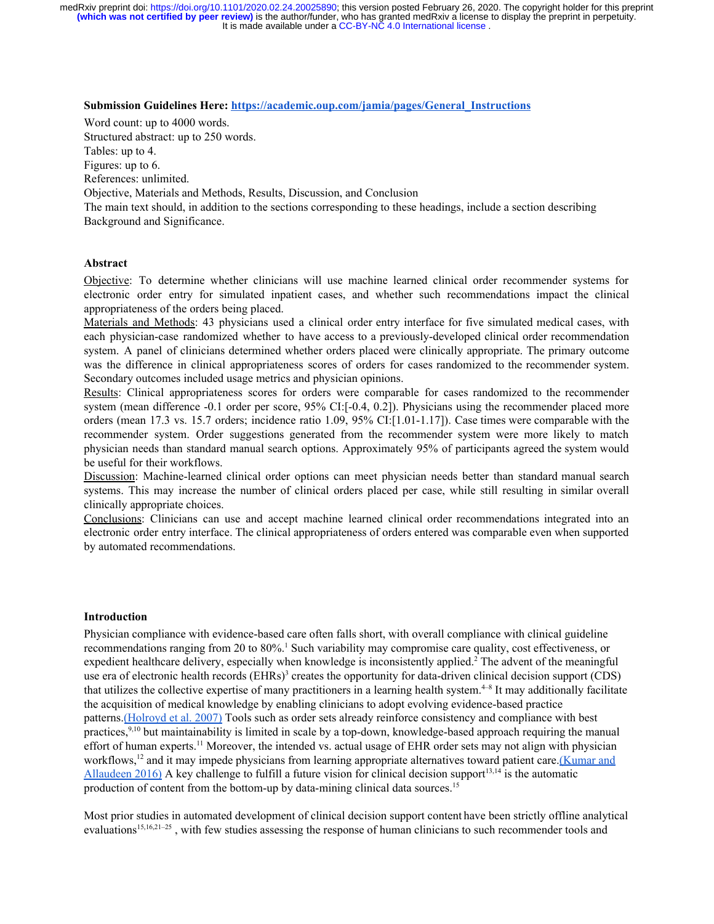#### **Submission Guidelines Here: [https://academic.oup.com/jamia/pages/General\\_Instructions](https://academic.oup.com/jamia/pages/General_Instructions)**

Word count: up to 4000 words.

Structured abstract: up to 250 words. Tables: up to 4.

Figures: up to 6.

References: unlimited.

Objective, Materials and Methods, Results, Discussion, and Conclusion

The main text should, in addition to the sections corresponding to these headings, include a section describing Background and Significance.

#### **Abstract**

Objective: To determine whether clinicians will use machine learned clinical order recommender systems for electronic order entry for simulated inpatient cases, and whether such recommendations impact the clinical appropriateness of the orders being placed.

Materials and Methods: 43 physicians used a clinical order entry interface for five simulated medical cases, with each physician-case randomized whether to have access to a previously-developed clinical order recommendation system. A panel of clinicians determined whether orders placed were clinically appropriate. The primary outcome was the difference in clinical appropriateness scores of orders for cases randomized to the recommender system. Secondary outcomes included usage metrics and physician opinions.

Results: Clinical appropriateness scores for orders were comparable for cases randomized to the recommender system (mean difference -0.1 order per score, 95% CI:[-0.4, 0.2]). Physicians using the recommender placed more orders (mean 17.3 vs. 15.7 orders; incidence ratio 1.09, 95% CI:[1.01-1.17]). Case times were comparable with the recommender system. Order suggestions generated from the recommender system were more likely to match physician needs than standard manual search options. Approximately 95% of participants agreed the system would be useful for their workflows.

Discussion: Machine-learned clinical order options can meet physician needs better than standard manual search systems. This may increase the number of clinical orders placed per case, while still resulting in similar overall clinically appropriate choices.

Conclusions: Clinicians can use and accept machine learned clinical order recommendations integrated into an electronic order entry interface. The clinical appropriateness of orders entered was comparable even when supported by automated recommendations.

#### **Introduction**

Physician compliance with evidence-based care often falls short, with overall compliance with clinical guideline recommendations ranging from 20 to 80%.<sup>[1](https://paperpile.com/c/D3ERHt/ZqJ6)</sup> Such variability may compromise care quality, cost effectiveness, or expedient healthcare delivery, especially when knowledge is inconsistently applied.<sup>[2](https://paperpile.com/c/D3ERHt/wdSZ)</sup> The advent of the meaningful use era of electronic health records  $(EHRs)^3$  $(EHRs)^3$  creates the opportunity for data-driven clinical decision support  $(CDS)$ that utilizes the collective expertise of many practitioners in a learning health system. $4-8$  It may additionally facilitate the acquisition of medical knowledge by enabling clinicians to adopt evolving evidence-based practice patterns[.\(Holroyd et al. 2007\)](https://paperpile.com/c/b8JmGL/tUhB) Tools such as order sets already reinforce consistency and compliance with best practices,<sup>[9,10](https://paperpile.com/c/D3ERHt/6c4Y+pl4V)</sup> but maintainability is limited in scale by a top-down, knowledge-based approach requiring the manual effort of human experts.<sup>[11](https://paperpile.com/c/D3ERHt/JYvP)</sup> Moreover, the intended vs. actual usage of EHR order sets may not align with physician workflows,<sup>[12](https://paperpile.com/c/D3ERHt/mLP9)</sup> and it may impede physicians from learning appropriate alternatives toward patient care.[\(Kumar and](https://paperpile.com/c/b8JmGL/8CwD) [Allaudeen 2016\)](https://paperpile.com/c/b8JmGL/8CwD) A key challenge to fulfill a future vision for clinical decision support<sup>[13,14](https://paperpile.com/c/D3ERHt/vHP9+nxaI)</sup> is the automatic production of content from the bottom-up by data-mining clinical data sources.<sup>[15](https://paperpile.com/c/D3ERHt/kdRi)</sup>

Most prior studies in automated development of clinical decision support content have been strictly offline analytical evaluations<sup>[15,16,21–25](https://paperpile.com/c/D3ERHt/XPtQ+C56M+o9y4+FluM+Npt0+kdRi+jtF9)</sup>, with few studies assessing the response of human clinicians to such recommender tools and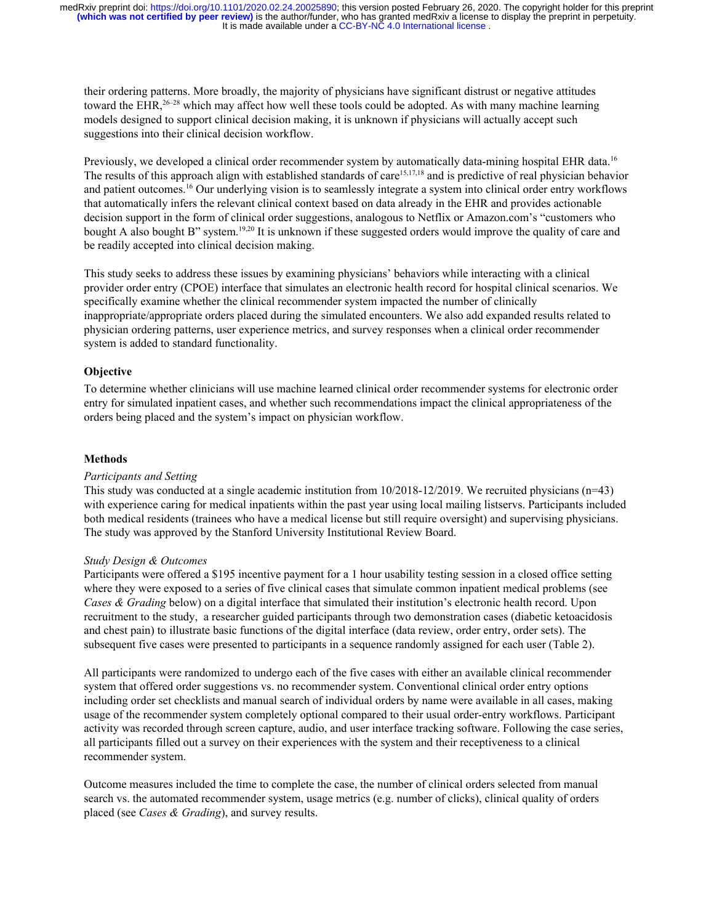their ordering patterns. More broadly, the majority of physicians have significant distrust or negative attitudes toward the EHR,<sup>[26–28](https://paperpile.com/c/D3ERHt/K7Tl+t6oM+Gi4b)</sup> which may affect how well these tools could be adopted. As with many machine learning models designed to support clinical decision making, it is unknown if physicians will actually accept such suggestions into their clinical decision workflow.

Previously, we developed a clinical order recommender system by automatically data-mining hospital EHR data.<sup>[16](https://paperpile.com/c/D3ERHt/Npt0)</sup> The results of this approach align with established standards of care<sup>[15,17,18](https://paperpile.com/c/D3ERHt/baVs+kdRi+RZ3a)</sup> and is predictive of real physician behavior and patient outcomes.[16](https://paperpile.com/c/D3ERHt/Npt0) Our underlying vision is to seamlessly integrate a system into clinical order entry workflows that automatically infers the relevant clinical context based on data already in the EHR and provides actionable decision support in the form of clinical order suggestions, analogous to Netflix or Amazon.com's "customers who bought A also bought B" system.<sup>[19,20](https://paperpile.com/c/D3ERHt/dwaB+uBRo)</sup> It is unknown if these suggested orders would improve the quality of care and be readily accepted into clinical decision making.

This study seeks to address these issues by examining physicians' behaviors while interacting with a clinical provider order entry (CPOE) interface that simulates an electronic health record for hospital clinical scenarios. We specifically examine whether the clinical recommender system impacted the number of clinically inappropriate/appropriate orders placed during the simulated encounters. We also add expanded results related to physician ordering patterns, user experience metrics, and survey responses when a clinical order recommender system is added to standard functionality.

#### **Objective**

To determine whether clinicians will use machine learned clinical order recommender systems for electronic order entry for simulated inpatient cases, and whether such recommendations impact the clinical appropriateness of the orders being placed and the system's impact on physician workflow.

#### **Methods**

#### *Participants and Setting*

This study was conducted at a single academic institution from 10/2018-12/2019. We recruited physicians (n=43) with experience caring for medical inpatients within the past year using local mailing listservs. Participants included both medical residents (trainees who have a medical license but still require oversight) and supervising physicians. The study was approved by the Stanford University Institutional Review Board.

#### *Study Design & Outcomes*

Participants were offered a \$195 incentive payment for a 1 hour usability testing session in a closed office setting where they were exposed to a series of five clinical cases that simulate common inpatient medical problems (see *Cases & Grading* below) on a digital interface that simulated their institution's electronic health record. Upon recruitment to the study, a researcher guided participants through two demonstration cases (diabetic ketoacidosis and chest pain) to illustrate basic functions of the digital interface (data review, order entry, order sets). The subsequent five cases were presented to participants in a sequence randomly assigned for each user (Table 2).

All participants were randomized to undergo each of the five cases with either an available clinical recommender system that offered order suggestions vs. no recommender system. Conventional clinical order entry options including order set checklists and manual search of individual orders by name were available in all cases, making usage of the recommender system completely optional compared to their usual order-entry workflows. Participant activity was recorded through screen capture, audio, and user interface tracking software. Following the case series, all participants filled out a survey on their experiences with the system and their receptiveness to a clinical recommender system.

Outcome measures included the time to complete the case, the number of clinical orders selected from manual search vs. the automated recommender system, usage metrics (e.g. number of clicks), clinical quality of orders placed (see *Cases & Grading*), and survey results.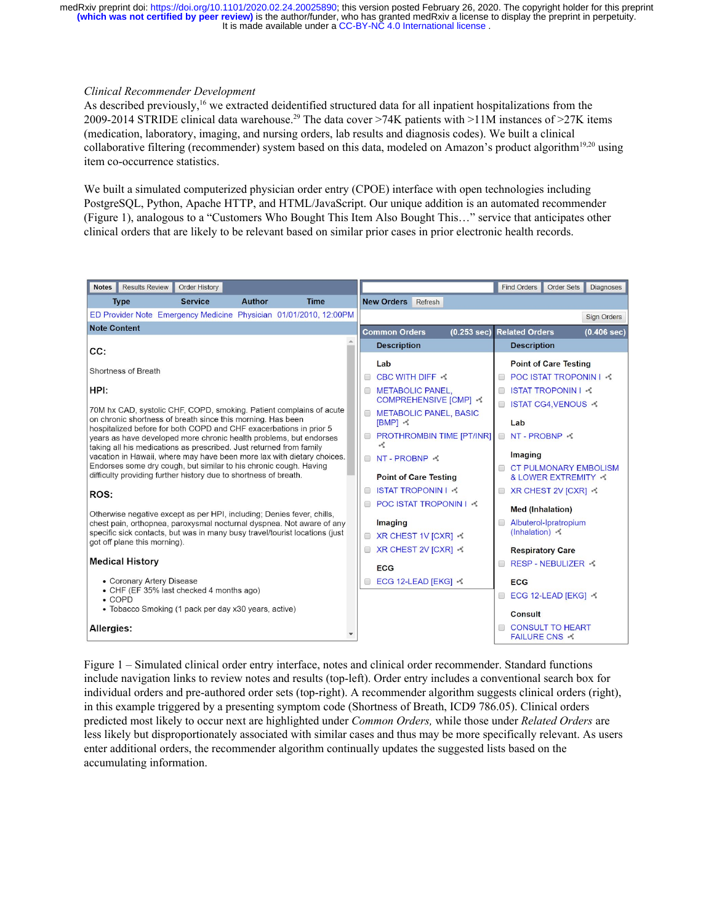#### *Clinical Recommender Development*

As described previously,<sup>[16](https://paperpile.com/c/D3ERHt/Npt0)</sup> we extracted deidentified structured data for all inpatient hospitalizations from the 2009-2014 STRIDE clinical data warehouse.<sup>[29](https://paperpile.com/c/D3ERHt/jg57)</sup> The data cover >74K patients with >11M instances of >27K items (medication, laboratory, imaging, and nursing orders, lab results and diagnosis codes). We built a clinical collaborative filtering (recommender) system based on this data, modeled on Amazon's product algorithm<sup>[19,20](https://paperpile.com/c/D3ERHt/uBRo+dwaB)</sup> using item co-occurrence statistics.

We built a simulated computerized physician order entry (CPOE) interface with open technologies including PostgreSQL, Python, Apache HTTP, and HTML/JavaScript. Our unique addition is an automated recommender (Figure 1), analogous to a "Customers Who Bought This Item Also Bought This…" service that anticipates other clinical orders that are likely to be relevant based on similar prior cases in prior electronic health records.

| <b>Results Review</b><br><b>Order History</b><br><b>Notes</b>                                                                                 | <b>Find Orders</b><br><b>Order Sets</b><br><b>Diagnoses</b>                                       |
|-----------------------------------------------------------------------------------------------------------------------------------------------|---------------------------------------------------------------------------------------------------|
| <b>Author</b><br><b>Time</b><br><b>Type</b><br><b>Service</b>                                                                                 | <b>New Orders</b><br>Refresh                                                                      |
| ED Provider Note Emergency Medicine Physician 01/01/2010, 12:00PM                                                                             | <b>Sign Orders</b>                                                                                |
| <b>Note Content</b>                                                                                                                           | <b>Common Orders</b><br>(0.253 sec)<br><b>Related Orders</b><br>(0.406 sec)                       |
| CC:                                                                                                                                           | <b>Description</b><br><b>Description</b>                                                          |
|                                                                                                                                               | Lab<br><b>Point of Care Testing</b>                                                               |
| Shortness of Breath                                                                                                                           | <b>CBC WITH DIFF &lt;</b><br>POC ISTAT TROPONIN I -<br>∩<br>$\Box$                                |
| HPI:                                                                                                                                          | <b>ISTAT TROPONIN I 4</b><br>METABOLIC PANEL.<br>∩                                                |
| 70M hx CAD, systolic CHF, COPD, smoking. Patient complains of acute                                                                           | <b>COMPREHENSIVE [CMP]</b><br>ISTAT CG4, VENOUS →<br>$\Box$<br><b>METABOLIC PANEL, BASIC</b><br>□ |
| on chronic shortness of breath since this morning. Has been<br>hospitalized before for both COPD and CHF exacerbations in prior 5             | [BMP] <<br>Lab                                                                                    |
| years as have developed more chronic health problems, but endorses                                                                            | PROTHROMBIN TIME [PT/INR]<br><b>NT-PROBNP</b><br>o                                                |
| taking all his medications as prescribed. Just returned from family<br>vacation in Hawaii, where may have been more lax with dietary choices. | Imaging<br>NT-PROBNP <<br>∩                                                                       |
| Endorses some dry cough, but similar to his chronic cough. Having<br>difficulty providing further history due to shortness of breath.         | <b>CT PULMONARY EMBOLISM</b>                                                                      |
|                                                                                                                                               | <b>Point of Care Testing</b><br>& LOWER EXTREMITY →                                               |
| ROS:                                                                                                                                          | <b>ISTAT TROPONIN I &lt;</b><br>XR CHEST 2V [CXR] ⊰<br>□<br>□<br><b>POC ISTAT TROPONIN I</b>      |
| Otherwise negative except as per HPI, including; Denies fever, chills,                                                                        | $\Box$<br><b>Med (Inhalation)</b>                                                                 |
| chest pain, orthopnea, paroxysmal nocturnal dyspnea. Not aware of any                                                                         | Albuterol-Ipratropium<br>Imaging<br>$\Box$<br>(Inhalation)                                        |
| specific sick contacts, but was in many busy travel/tourist locations (just<br>got off plane this morning).                                   | □ XR CHEST 1V [CXR] <                                                                             |
|                                                                                                                                               | □ XR CHEST 2V [CXR] <<br><b>Respiratory Care</b>                                                  |
| <b>Medical History</b>                                                                                                                        | RESP-NEBULIZER <<br><b>ECG</b>                                                                    |
| • Coronary Artery Disease                                                                                                                     | ECG 12-LEAD [EKG] ⊰<br><b>ECG</b>                                                                 |
| • CHF (EF 35% last checked 4 months ago)<br>$\bullet$ COPD                                                                                    | ECG 12-LEAD [EKG] %<br>$\Box$                                                                     |
| • Tobacco Smoking (1 pack per day x30 years, active)                                                                                          | Consult                                                                                           |
| Allergies:                                                                                                                                    | <b>CONSULT TO HEART</b><br><b>FAILURE CNS ⊰</b>                                                   |

Figure 1 – Simulated clinical order entry interface, notes and clinical order recommender. Standard functions include navigation links to review notes and results (top-left). Order entry includes a conventional search box for individual orders and pre-authored order sets (top-right). A recommender algorithm suggests clinical orders (right), in this example triggered by a presenting symptom code (Shortness of Breath, ICD9 786.05). Clinical orders predicted most likely to occur next are highlighted under *Common Orders,* while those under *Related Orders* are less likely but disproportionately associated with similar cases and thus may be more specifically relevant. As users enter additional orders, the recommender algorithm continually updates the suggested lists based on the accumulating information.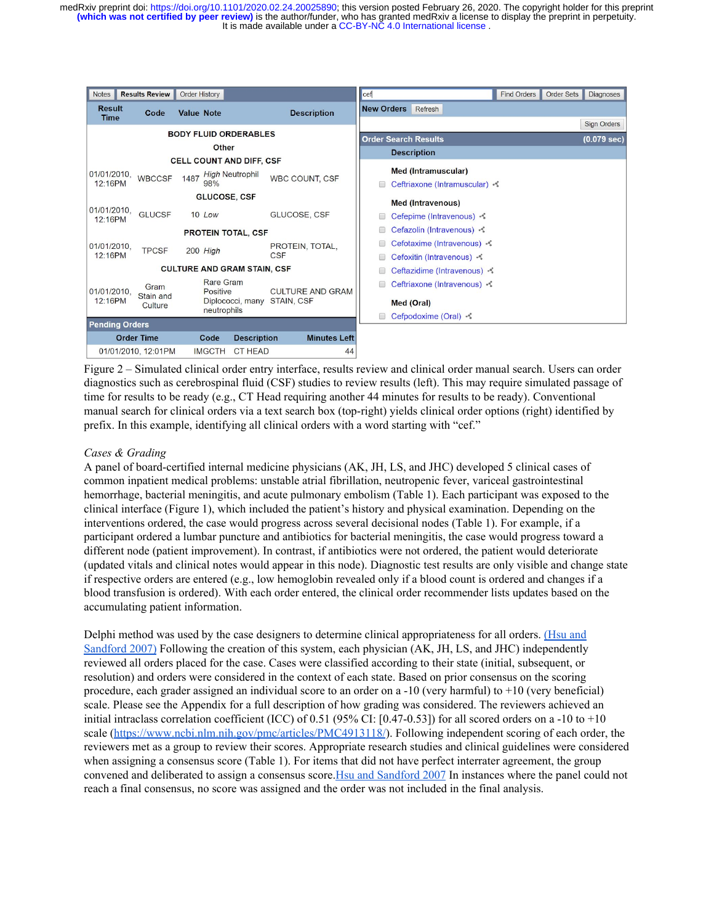| <b>Notes</b>                 | <b>Results Review</b>        |               | <b>Order History</b> |                       |                                    |                               |                               | cef               |                             | <b>Find Orders</b>    | <b>Order Sets</b> | <b>Diagnoses</b>   |
|------------------------------|------------------------------|---------------|----------------------|-----------------------|------------------------------------|-------------------------------|-------------------------------|-------------------|-----------------------------|-----------------------|-------------------|--------------------|
| <b>Result</b><br><b>Time</b> |                              | Code          | <b>Value Note</b>    |                       |                                    |                               | <b>Description</b>            | <b>New Orders</b> | Refresh                     |                       |                   |                    |
|                              |                              |               |                      |                       | <b>BODY FLUID ORDERABLES</b>       |                               |                               |                   |                             |                       |                   | <b>Sign Orders</b> |
| Other                        |                              |               |                      |                       |                                    |                               | <b>Order Search Results</b>   |                   |                             | $(0.079 \text{ sec})$ |                   |                    |
|                              |                              |               |                      |                       | <b>CELL COUNT AND DIFF, CSF</b>    |                               |                               |                   | <b>Description</b>          |                       |                   |                    |
| 01/01/2010,                  |                              |               |                      |                       | <b>High Neutrophil</b>             |                               |                               |                   | Med (Intramuscular)         |                       |                   |                    |
| 12:16PM                      | <b>WBCCSF</b><br>1487<br>98% |               |                      | <b>WBC COUNT, CSF</b> |                                    |                               | Ceftriaxone (Intramuscular) : |                   |                             |                       |                   |                    |
|                              |                              |               |                      |                       | <b>GLUCOSE, CSF</b>                |                               |                               |                   | Med (Intravenous)           |                       |                   |                    |
| 01/01/2010,<br>12:16PM       |                              | <b>GLUCSF</b> |                      | 10 Low                |                                    |                               | GLUCOSE, CSF                  |                   | Cefepime (Intravenous) - €  |                       |                   |                    |
|                              |                              |               |                      |                       | <b>PROTEIN TOTAL, CSF</b>          |                               |                               |                   | Cefazolin (Intravenous) べ   |                       |                   |                    |
| 01/01/2010.                  |                              | <b>TPCSF</b>  |                      |                       |                                    | PROTEIN, TOTAL,<br><b>CSF</b> |                               |                   | Cefotaxime (Intravenous) -  |                       |                   |                    |
| 12:16PM                      |                              |               | 200 High             |                       |                                    |                               |                               |                   | Cefoxitin (Intravenous) - € |                       |                   |                    |
|                              |                              |               |                      |                       | <b>CULTURE AND GRAM STAIN, CSF</b> |                               |                               |                   | Ceftazidime (Intravenous) - |                       |                   |                    |
|                              |                              | Gram          |                      | Rare Gram             |                                    |                               |                               |                   | Ceftriaxone (Intravenous) ⊰ |                       |                   |                    |
| 01/01/2010,<br>12:16PM       |                              | Stain and     |                      | Positive              | Diplococci, many STAIN, CSF        |                               | <b>CULTURE AND GRAM</b>       |                   | Med (Oral)                  |                       |                   |                    |
|                              |                              | Culture       |                      | neutrophils           |                                    |                               |                               |                   | Cefpodoxime (Oral) &        |                       |                   |                    |
| <b>Pending Orders</b>        |                              |               |                      |                       |                                    |                               |                               |                   |                             |                       |                   |                    |
|                              | <b>Order Time</b>            |               |                      | Code                  | <b>Description</b>                 |                               | <b>Minutes Left</b>           |                   |                             |                       |                   |                    |
| 01/01/2010, 12:01PM          |                              |               |                      | <b>IMGCTH</b>         | <b>CT HEAD</b>                     |                               | 44                            |                   |                             |                       |                   |                    |

Figure 2 – Simulated clinical order entry interface, results review and clinical order manual search. Users can order diagnostics such as cerebrospinal fluid (CSF) studies to review results (left). This may require simulated passage of time for results to be ready (e.g., CT Head requiring another 44 minutes for results to be ready). Conventional manual search for clinical orders via a text search box (top-right) yields clinical order options (right) identified by prefix. In this example, identifying all clinical orders with a word starting with "cef."

### *Cases & Grading*

A panel of board-certified internal medicine physicians (AK, JH, LS, and JHC) developed 5 clinical cases of common inpatient medical problems: unstable atrial fibrillation, neutropenic fever, variceal gastrointestinal hemorrhage, bacterial meningitis, and acute pulmonary embolism (Table 1). Each participant was exposed to the clinical interface (Figure 1), which included the patient's history and physical examination. Depending on the interventions ordered, the case would progress across several decisional nodes (Table 1). For example, if a participant ordered a lumbar puncture and antibiotics for bacterial meningitis, the case would progress toward a different node (patient improvement). In contrast, if antibiotics were not ordered, the patient would deteriorate (updated vitals and clinical notes would appear in this node). Diagnostic test results are only visible and change state if respective orders are entered (e.g., low hemoglobin revealed only if a blood count is ordered and changes if a blood transfusion is ordered). With each order entered, the clinical order recommender lists updates based on the accumulating patient information.

Delphi method was used by the case designers to determine clinical appropriateness for all orders. [\(Hsu and](https://paperpile.com/c/b8JmGL/27es) [Sandford 2007\)](https://paperpile.com/c/b8JmGL/27es) Following the creation of this system, each physician (AK, JH, LS, and JHC) independently reviewed all orders placed for the case. Cases were classified according to their state (initial, subsequent, or resolution) and orders were considered in the context of each state. Based on prior consensus on the scoring procedure, each grader assigned an individual score to an order on a -10 (very harmful) to +10 (very beneficial) scale. Please see the Appendix for a full description of how grading was considered. The reviewers achieved an initial intraclass correlation coefficient (ICC) of 0.51 (95% CI: [0.47-0.53]) for all scored orders on a -10 to +10 scale ([https://www.ncbi.nlm.nih.gov/pmc/articles/PMC4913118/\)](https://www.ncbi.nlm.nih.gov/pmc/articles/PMC4913118/). Following independent scoring of each order, the reviewers met as a group to review their scores. Appropriate research studies and clinical guidelines were considered when assigning a consensus score (Table 1). For items that did not have perfect interrater agreement, the group convened and deliberated to assign a consensus score. [Hsu and Sandford 2007](https://paperpile.com/c/b8JmGL/27es) In instances where the panel could not reach a final consensus, no score was assigned and the order was not included in the final analysis.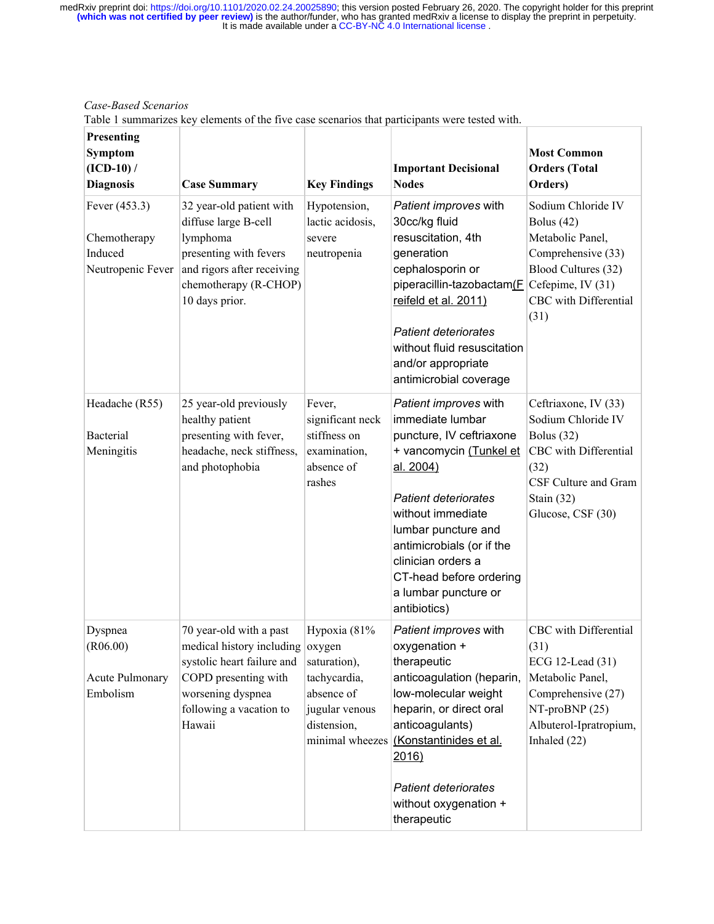*Case-Based Scenarios*

Table 1 summarizes key elements of the five case scenarios that participants were tested with.

| Presenting<br>Symptom<br>$(ICD-10) /$<br><b>Diagnosis</b>     | <b>Case Summary</b>                                                                                                                                                         | <b>Key Findings</b>                                                                                            | <b>Important Decisional</b><br><b>Nodes</b>                                                                                                                                                                                                                                                                    | <b>Most Common</b><br><b>Orders</b> (Total<br>Orders)                                                                                                      |
|---------------------------------------------------------------|-----------------------------------------------------------------------------------------------------------------------------------------------------------------------------|----------------------------------------------------------------------------------------------------------------|----------------------------------------------------------------------------------------------------------------------------------------------------------------------------------------------------------------------------------------------------------------------------------------------------------------|------------------------------------------------------------------------------------------------------------------------------------------------------------|
| Fever (453.3)<br>Chemotherapy<br>Induced<br>Neutropenic Fever | 32 year-old patient with<br>diffuse large B-cell<br>lymphoma<br>presenting with fevers<br>and rigors after receiving<br>chemotherapy (R-CHOP)<br>10 days prior.             | Hypotension,<br>lactic acidosis,<br>severe<br>neutropenia                                                      | Patient improves with<br>30cc/kg fluid<br>resuscitation, 4th<br>generation<br>cephalosporin or<br>piperacillin-tazobactam(F<br>reifeld et al. 2011)<br><b>Patient deteriorates</b><br>without fluid resuscitation<br>and/or appropriate<br>antimicrobial coverage                                              | Sodium Chloride IV<br>Bolus $(42)$<br>Metabolic Panel,<br>Comprehensive (33)<br>Blood Cultures (32)<br>Cefepime, IV (31)<br>CBC with Differential<br>(31)  |
| Headache (R55)<br>Bacterial<br>Meningitis                     | 25 year-old previously<br>healthy patient<br>presenting with fever,<br>headache, neck stiffness,<br>and photophobia                                                         | Fever,<br>significant neck<br>stiffness on<br>examination,<br>absence of<br>rashes                             | Patient improves with<br>immediate lumbar<br>puncture, IV ceftriaxone<br>+ vancomycin (Tunkel et<br>al. 2004)<br><b>Patient deteriorates</b><br>without immediate<br>lumbar puncture and<br>antimicrobials (or if the<br>clinician orders a<br>CT-head before ordering<br>a lumbar puncture or<br>antibiotics) | Ceftriaxone, IV (33)<br>Sodium Chloride IV<br>Bolus $(32)$<br>CBC with Differential<br>(32)<br>CSF Culture and Gram<br>Stain $(32)$<br>Glucose, CSF (30)   |
| Dyspnea<br>(R06.00)<br>Acute Pulmonary<br>Embolism            | 70 year-old with a past<br>medical history including oxygen<br>systolic heart failure and<br>COPD presenting with<br>worsening dyspnea<br>following a vacation to<br>Hawaii | Hypoxia (81%<br>saturation),<br>tachycardia,<br>absence of<br>jugular venous<br>distension,<br>minimal wheezes | Patient improves with<br>oxygenation +<br>therapeutic<br>anticoagulation (heparin,<br>low-molecular weight<br>heparin, or direct oral<br>anticoagulants)<br>(Konstantinides et al.<br>2016)<br><b>Patient deteriorates</b><br>without oxygenation +<br>therapeutic                                             | CBC with Differential<br>(31)<br>ECG 12-Lead (31)<br>Metabolic Panel,<br>Comprehensive (27)<br>$NT-proBNP(25)$<br>Albuterol-Ipratropium,<br>Inhaled $(22)$ |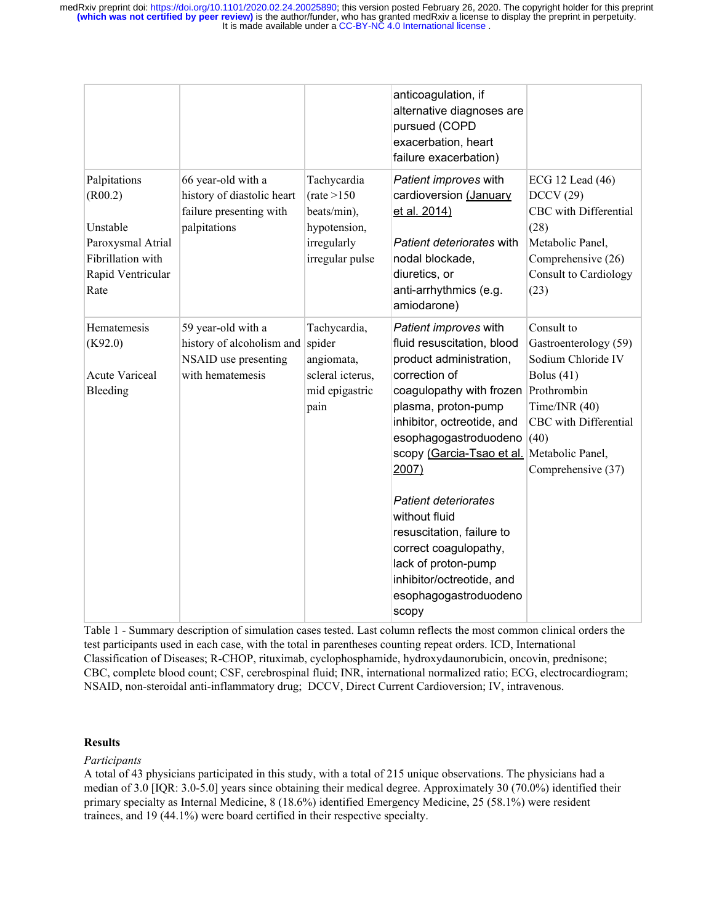|                                                                                                            |                                                                                             |                                                                                              | anticoagulation, if<br>alternative diagnoses are<br>pursued (COPD<br>exacerbation, heart<br>failure exacerbation)                                                                                                                                                                                                                                                                                                                           |                                                                                                                                                                                        |
|------------------------------------------------------------------------------------------------------------|---------------------------------------------------------------------------------------------|----------------------------------------------------------------------------------------------|---------------------------------------------------------------------------------------------------------------------------------------------------------------------------------------------------------------------------------------------------------------------------------------------------------------------------------------------------------------------------------------------------------------------------------------------|----------------------------------------------------------------------------------------------------------------------------------------------------------------------------------------|
| Palpitations<br>(R00.2)<br>Unstable<br>Paroxysmal Atrial<br>Fibrillation with<br>Rapid Ventricular<br>Rate | 66 year-old with a<br>history of diastolic heart<br>failure presenting with<br>palpitations | Tachycardia<br>(rate > 150)<br>beats/min),<br>hypotension,<br>irregularly<br>irregular pulse | Patient improves with<br>cardioversion (January<br>et al. 2014)<br>Patient deteriorates with<br>nodal blockade,<br>diuretics, or<br>anti-arrhythmics (e.g.<br>amiodarone)                                                                                                                                                                                                                                                                   | ECG 12 Lead (46)<br>DCCV(29)<br>CBC with Differential<br>(28)<br>Metabolic Panel,<br>Comprehensive (26)<br><b>Consult to Cardiology</b><br>(23)                                        |
| Hematemesis<br>(K92.0)<br><b>Acute Variceal</b><br>Bleeding                                                | 59 year-old with a<br>history of alcoholism and<br>NSAID use presenting<br>with hematemesis | Tachycardia,<br>spider<br>angiomata,<br>scleral icterus,<br>mid epigastric<br>pain           | Patient improves with<br>fluid resuscitation, blood<br>product administration,<br>correction of<br>coagulopathy with frozen<br>plasma, proton-pump<br>inhibitor, octreotide, and<br>esophagogastroduodeno<br>scopy (Garcia-Tsao et al.<br>2007)<br><b>Patient deteriorates</b><br>without fluid<br>resuscitation, failure to<br>correct coagulopathy,<br>lack of proton-pump<br>inhibitor/octreotide, and<br>esophagogastroduodeno<br>scopy | Consult to<br>Gastroenterology (59)<br>Sodium Chloride IV<br>Bolus $(41)$<br>Prothrombin<br>Time/INR $(40)$<br>CBC with Differential<br>(40)<br>Metabolic Panel,<br>Comprehensive (37) |

Table 1 - Summary description of simulation cases tested. Last column reflects the most common clinical orders the test participants used in each case, with the total in parentheses counting repeat orders. ICD, International Classification of Diseases; R-CHOP, rituximab, cyclophosphamide, hydroxydaunorubicin, oncovin, prednisone; CBC, complete blood count; CSF, cerebrospinal fluid; INR, international normalized ratio; ECG, electrocardiogram; NSAID, non-steroidal anti-inflammatory drug; DCCV, Direct Current Cardioversion; IV, intravenous.

#### **Results**

*Participants*

A total of 43 physicians participated in this study, with a total of 215 unique observations. The physicians had a median of 3.0 [IQR: 3.0-5.0] years since obtaining their medical degree. Approximately 30 (70.0%) identified their primary specialty as Internal Medicine, 8 (18.6%) identified Emergency Medicine, 25 (58.1%) were resident trainees, and 19 (44.1%) were board certified in their respective specialty.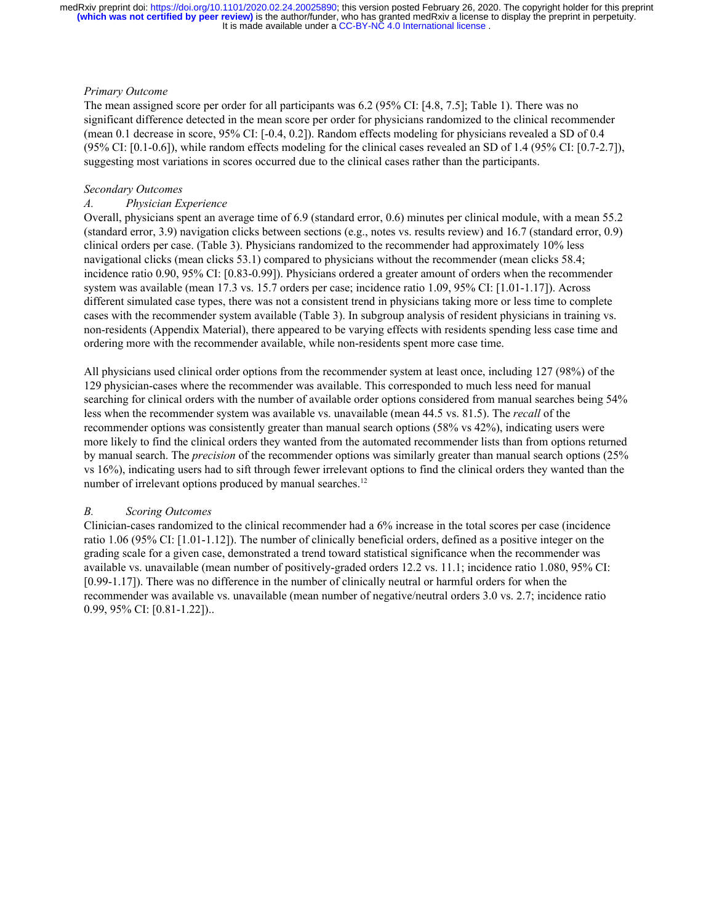#### *Primary Outcome*

The mean assigned score per order for all participants was 6.2 (95% CI: [4.8, 7.5]; Table 1). There was no significant difference detected in the mean score per order for physicians randomized to the clinical recommender (mean 0.1 decrease in score, 95% CI: [-0.4, 0.2]). Random effects modeling for physicians revealed a SD of 0.4 (95% CI: [0.1-0.6]), while random effects modeling for the clinical cases revealed an SD of 1.4 (95% CI: [0.7-2.7]), suggesting most variations in scores occurred due to the clinical cases rather than the participants.

#### *Secondary Outcomes*

#### *A. Physician Experience*

Overall, physicians spent an average time of 6.9 (standard error, 0.6) minutes per clinical module, with a mean 55.2 (standard error, 3.9) navigation clicks between sections (e.g., notes vs. results review) and 16.7 (standard error, 0.9) clinical orders per case. (Table 3). Physicians randomized to the recommender had approximately 10% less navigational clicks (mean clicks 53.1) compared to physicians without the recommender (mean clicks 58.4; incidence ratio 0.90, 95% CI: [0.83-0.99]). Physicians ordered a greater amount of orders when the recommender system was available (mean 17.3 vs. 15.7 orders per case; incidence ratio 1.09, 95% CI: [1.01-1.17]). Across different simulated case types, there was not a consistent trend in physicians taking more or less time to complete cases with the recommender system available (Table 3). In subgroup analysis of resident physicians in training vs. non-residents (Appendix Material), there appeared to be varying effects with residents spending less case time and ordering more with the recommender available, while non-residents spent more case time.

All physicians used clinical order options from the recommender system at least once, including 127 (98%) of the 129 physician-cases where the recommender was available. This corresponded to much less need for manual searching for clinical orders with the number of available order options considered from manual searches being 54% less when the recommender system was available vs. unavailable (mean 44.5 vs. 81.5). The *recall* of the recommender options was consistently greater than manual search options (58% vs 42%), indicating users were more likely to find the clinical orders they wanted from the automated recommender lists than from options returned by manual search. The *precision* of the recommender options was similarly greater than manual search options (25% vs 16%), indicating users had to sift through fewer irrelevant options to find the clinical orders they wanted than the number of irrelevant options produced by manual searches.<sup>[12](https://paperpile.com/c/D3ERHt/mLP9)</sup>

#### *B. Scoring Outcomes*

Clinician-cases randomized to the clinical recommender had a 6% increase in the total scores per case (incidence ratio 1.06 (95% CI: [1.01-1.12]). The number of clinically beneficial orders, defined as a positive integer on the grading scale for a given case, demonstrated a trend toward statistical significance when the recommender was available vs. unavailable (mean number of positively-graded orders 12.2 vs. 11.1; incidence ratio 1.080, 95% CI: [0.99-1.17]). There was no difference in the number of clinically neutral or harmful orders for when the recommender was available vs. unavailable (mean number of negative/neutral orders 3.0 vs. 2.7; incidence ratio 0.99, 95% CI: [0.81-1.22])..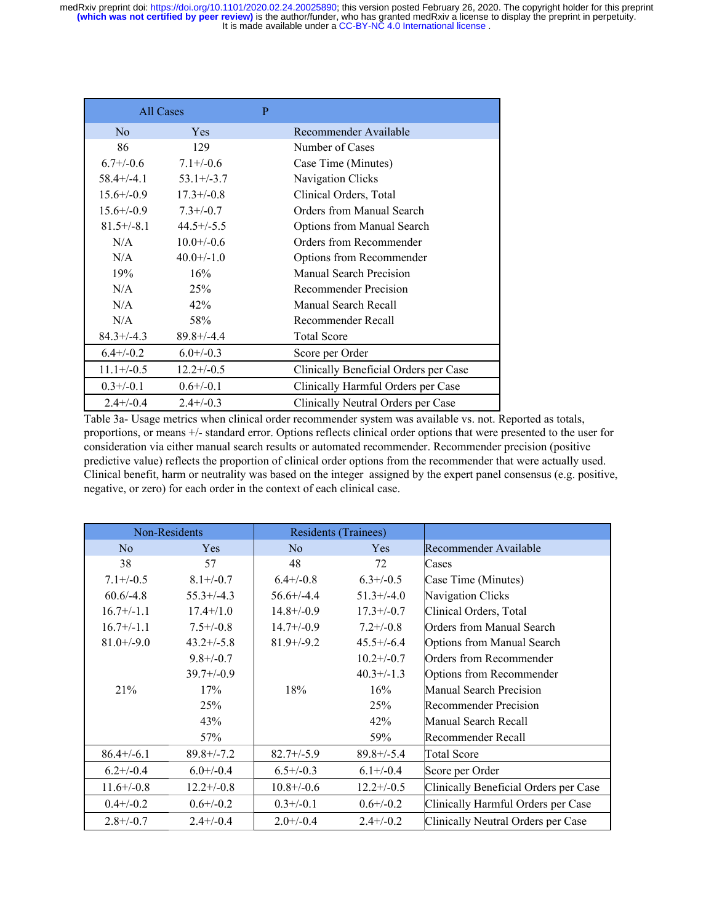|                 | All Cases       |  |                                       |
|-----------------|-----------------|--|---------------------------------------|
| N <sub>o</sub>  | <b>Yes</b>      |  | Recommender Available                 |
| 86              | 129             |  | Number of Cases                       |
| $6.7 + (-0.6)$  | $7.1 + (-0.6)$  |  | Case Time (Minutes)                   |
| $58.4 + (-4.1)$ | $53.1 + (-3.7)$ |  | Navigation Clicks                     |
| $15.6 + (-0.9)$ | $17.3 + (-0.8)$ |  | Clinical Orders, Total                |
| $15.6 + (-0.9)$ | $7.3 + (-0.7)$  |  | Orders from Manual Search             |
| $81.5 + (-8.1)$ | $44.5+/-5.5$    |  | <b>Options from Manual Search</b>     |
| N/A             | $10.0 + (-0.6)$ |  | Orders from Recommender               |
| N/A             | $40.0+/-1.0$    |  | Options from Recommender              |
| 19%             | 16%             |  | <b>Manual Search Precision</b>        |
| N/A             | 25%             |  | <b>Recommender Precision</b>          |
| N/A             | 42%             |  | Manual Search Recall                  |
| N/A             | 58%             |  | Recommender Recall                    |
| $84.3 + (-4.3)$ | $89.8 + (-4.4)$ |  | <b>Total Score</b>                    |
| $6.4 + (-0.2)$  | $6.0 + (-0.3)$  |  | Score per Order                       |
| $11.1+/-0.5$    | $12.2+/-0.5$    |  | Clinically Beneficial Orders per Case |
| $0.3 + (-0.1)$  | $0.6 + (-0.1)$  |  | Clinically Harmful Orders per Case    |
| $2.4 + (-0.4)$  | $2.4 + (-0.3)$  |  | Clinically Neutral Orders per Case    |

Table 3a- Usage metrics when clinical order recommender system was available vs. not. Reported as totals, proportions, or means +/- standard error. Options reflects clinical order options that were presented to the user for consideration via either manual search results or automated recommender. Recommender precision (positive predictive value) reflects the proportion of clinical order options from the recommender that were actually used. Clinical benefit, harm or neutrality was based on the integer assigned by the expert panel consensus (e.g. positive, negative, or zero) for each order in the context of each clinical case.

|                 | Non-Residents   |                 | <b>Residents (Trainees)</b> |                                       |
|-----------------|-----------------|-----------------|-----------------------------|---------------------------------------|
| N <sub>0</sub>  | <b>Yes</b>      | N <sub>0</sub>  | Yes                         | Recommender Available                 |
| 38              | 57              | 48              | 72                          | Cases                                 |
| $7.1 + (-0.5)$  | $8.1 + (-0.7)$  | $6.4 + (-0.8)$  | $6.3 + (-0.5)$              | Case Time (Minutes)                   |
| $60.6/-4.8$     | $55.3+/-4.3$    | $56.6 + (-4.4)$ | $51.3+/-4.0$                | Navigation Clicks                     |
| $16.7+/-1.1$    | $17.4+/1.0$     | $14.8 + -0.9$   | $17.3 + (-0.7)$             | Clinical Orders, Total                |
| $16.7+/-1.1$    | $7.5 + (-0.8)$  | $14.7+/-0.9$    | $7.2 + (-0.8)$              | <b>Orders from Manual Search</b>      |
| $81.0+/9.0$     | $43.2+/-5.8$    | $81.9+/9.2$     | $45.5+/-6.4$                | <b>Options from Manual Search</b>     |
|                 | $9.8 + / -0.7$  |                 | $10.2 + (-0.7)$             | Orders from Recommender               |
|                 | $39.7+/-0.9$    |                 | $40.3+/-1.3$                | Options from Recommender              |
| 21%             | 17%             | 18%             | 16%                         | Manual Search Precision               |
|                 | 25%             |                 | 25%                         | <b>Recommender Precision</b>          |
|                 | 43%             |                 | 42%                         | Manual Search Recall                  |
|                 | 57%             |                 | 59%                         | Recommender Recall                    |
| $86.4 + (-6.1)$ | $89.8 + (-7.2)$ | $82.7 + (-5.9)$ | $89.8 + (-5.4)$             | <b>Total Score</b>                    |
| $6.2 + (-0.4)$  | $6.0 + (-0.4)$  | $6.5 + (-0.3)$  | $6.1 + (-0.4)$              | Score per Order                       |
| $11.6+/-0.8$    | $12.2+/-0.8$    | $10.8 + (-0.6)$ | $12.2+/-0.5$                | Clinically Beneficial Orders per Case |
| $0.4 + (-0.2)$  | $0.6 + (-0.2)$  | $0.3 + (-0.1)$  | $0.6 + (-0.2)$              | Clinically Harmful Orders per Case    |
| $2.8 + (-0.7)$  | $2.4 + (-0.4)$  | $2.0 + (-0.4)$  | $2.4 + (-0.2)$              | Clinically Neutral Orders per Case    |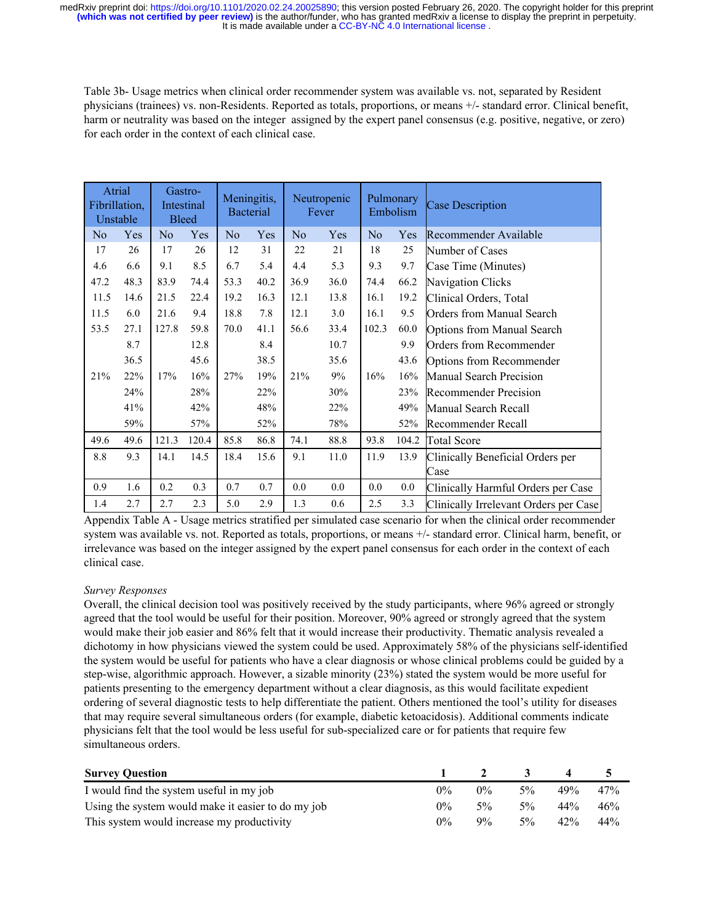Table 3b- Usage metrics when clinical order recommender system was available vs. not, separated by Resident physicians (trainees) vs. non-Residents. Reported as totals, proportions, or means +/- standard error. Clinical benefit, harm or neutrality was based on the integer assigned by the expert panel consensus (e.g. positive, negative, or zero) for each order in the context of each clinical case.

| Atrial<br>Fibrillation,<br>Unstable |      |                | Gastro-<br>Intestinal<br><b>Bleed</b> |                | Meningitis,<br><b>Bacterial</b> |                | Neutropenic<br>Fever | Pulmonary<br>Embolism |       | <b>Case Description</b>               |
|-------------------------------------|------|----------------|---------------------------------------|----------------|---------------------------------|----------------|----------------------|-----------------------|-------|---------------------------------------|
| N <sub>o</sub>                      | Yes  | N <sub>0</sub> | Yes                                   | N <sub>0</sub> | Yes                             | N <sub>0</sub> | Yes                  | N <sub>o</sub>        | Yes   | Recommender Available                 |
| 17                                  | 26   | 17             | 26                                    | 12             | 31                              | 22             | 21                   | 18                    | 25    | Number of Cases                       |
| 4.6                                 | 6.6  | 9.1            | 8.5                                   | 6.7            | 5.4                             | 4.4            | 5.3                  | 9.3                   | 9.7   | Case Time (Minutes)                   |
| 47.2                                | 48.3 | 83.9           | 74.4                                  | 53.3           | 40.2                            | 36.9           | 36.0                 | 74.4                  | 66.2  | Navigation Clicks                     |
| 11.5                                | 14.6 | 21.5           | 22.4                                  | 19.2           | 16.3                            | 12.1           | 13.8                 | 16.1                  | 19.2  | Clinical Orders, Total                |
| 11.5                                | 6.0  | 21.6           | 9.4                                   | 18.8           | 7.8                             | 12.1           | 3.0                  | 16.1                  | 9.5   | <b>Orders from Manual Search</b>      |
| 53.5                                | 27.1 | 127.8          | 59.8                                  | 70.0           | 41.1                            | 56.6           | 33.4                 | 102.3                 | 60.0  | <b>Options from Manual Search</b>     |
|                                     | 8.7  |                | 12.8                                  |                | 8.4                             |                | 10.7                 |                       | 9.9   | Orders from Recommender               |
|                                     | 36.5 |                | 45.6                                  |                | 38.5                            |                | 35.6                 |                       | 43.6  | Options from Recommender              |
| 21%                                 | 22%  | 17%            | 16%                                   | 27%            | 19%                             | 21%            | 9%                   | 16%                   | 16%   | <b>Manual Search Precision</b>        |
|                                     | 24%  |                | 28%                                   |                | 22%                             |                | 30%                  |                       | 23%   | <b>Recommender Precision</b>          |
|                                     | 41%  |                | 42%                                   |                | 48%                             |                | 22%                  |                       | 49%   | Manual Search Recall                  |
|                                     | 59%  |                | 57%                                   |                | 52%                             |                | 78%                  |                       | 52%   | Recommender Recall                    |
| 49.6                                | 49.6 | 121.3          | 120.4                                 | 85.8           | 86.8                            | 74.1           | 88.8                 | 93.8                  | 104.2 | <b>Total Score</b>                    |
| 8.8                                 | 9.3  | 14.1           | 14.5                                  | 18.4           | 15.6                            | 9.1            | 11.0                 | 11.9                  | 13.9  | Clinically Beneficial Orders per      |
|                                     |      |                |                                       |                |                                 |                |                      |                       |       | Case                                  |
| 0.9                                 | 1.6  | 0.2            | 0.3                                   | 0.7            | 0.7                             | 0.0            | 0.0                  | 0.0                   | 0.0   | Clinically Harmful Orders per Case    |
| 1.4                                 | 2.7  | 2.7            | 2.3                                   | 5.0            | 2.9                             | 1.3            | 0.6                  | 2.5                   | 3.3   | Clinically Irrelevant Orders per Case |

Appendix Table A - Usage metrics stratified per simulated case scenario for when the clinical order recommender system was available vs. not. Reported as totals, proportions, or means  $+/-$  standard error. Clinical harm, benefit, or irrelevance was based on the integer assigned by the expert panel consensus for each order in the context of each clinical case.

#### *Survey Responses*

Overall, the clinical decision tool was positively received by the study participants, where 96% agreed or strongly agreed that the tool would be useful for their position. Moreover, 90% agreed or strongly agreed that the system would make their job easier and 86% felt that it would increase their productivity. Thematic analysis revealed a dichotomy in how physicians viewed the system could be used. Approximately 58% of the physicians self-identified the system would be useful for patients who have a clear diagnosis or whose clinical problems could be guided by a step-wise, algorithmic approach. However, a sizable minority (23%) stated the system would be more useful for patients presenting to the emergency department without a clear diagnosis, as this would facilitate expedient ordering of several diagnostic tests to help differentiate the patient. Others mentioned the tool's utility for diseases that may require several simultaneous orders (for example, diabetic ketoacidosis). Additional comments indicate physicians felt that the tool would be less useful for sub-specialized care or for patients that require few simultaneous orders.

| <b>Survey Question</b>                             |       |       |       |     |     |
|----------------------------------------------------|-------|-------|-------|-----|-----|
| I would find the system useful in my job           | $0\%$ | $0\%$ | $5\%$ | 49% | 47% |
| Using the system would make it easier to do my job | $0\%$ | $5\%$ | $5\%$ | 44% | 46% |
| This system would increase my productivity         | $0\%$ | $9\%$ | $5\%$ | 42% | 44% |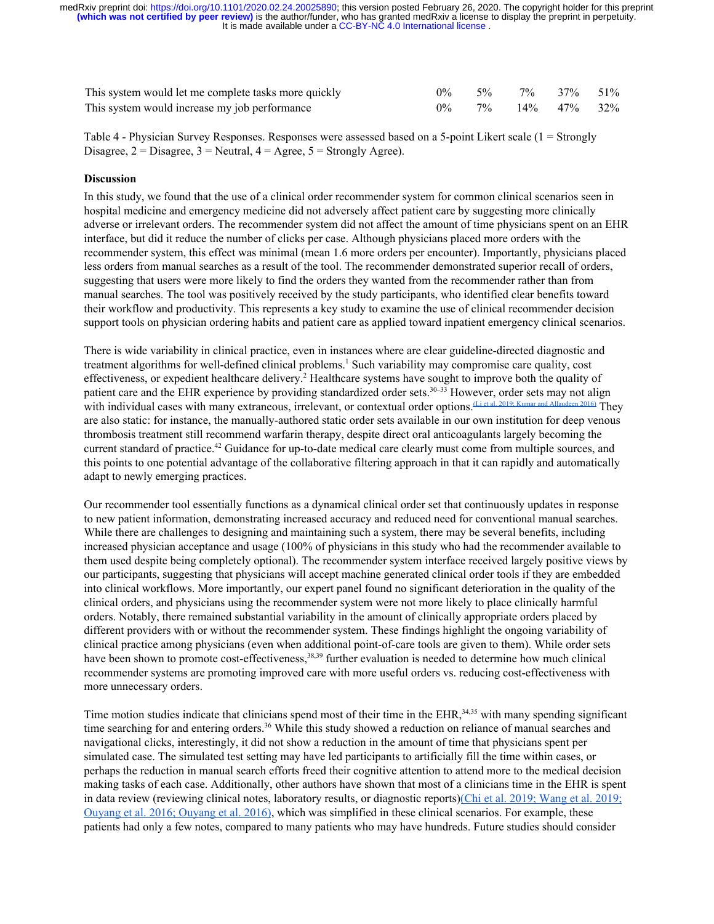| This system would let me complete tasks more quickly | $0\%$ | $5\%$ 7% 37% 51%           |  |
|------------------------------------------------------|-------|----------------------------|--|
| This system would increase my job performance        | $0\%$ | $7\%$ $14\%$ $47\%$ $32\%$ |  |

Table 4 - Physician Survey Responses. Responses were assessed based on a 5-point Likert scale (1 = Strongly Disagree,  $2 = Disagree$ ,  $3 = Neutral$ ,  $4 = Agree$ ,  $5 = Strongly Age$ e).

#### **Discussion**

In this study, we found that the use of a clinical order recommender system for common clinical scenarios seen in hospital medicine and emergency medicine did not adversely affect patient care by suggesting more clinically adverse or irrelevant orders. The recommender system did not affect the amount of time physicians spent on an EHR interface, but did it reduce the number of clicks per case. Although physicians placed more orders with the recommender system, this effect was minimal (mean 1.6 more orders per encounter). Importantly, physicians placed less orders from manual searches as a result of the tool. The recommender demonstrated superior recall of orders, suggesting that users were more likely to find the orders they wanted from the recommender rather than from manual searches. The tool was positively received by the study participants, who identified clear benefits toward their workflow and productivity. This represents a key study to examine the use of clinical recommender decision support tools on physician ordering habits and patient care as applied toward inpatient emergency clinical scenarios.

There is wide variability in clinical practice, even in instances where are clear guideline-directed diagnostic and treatment algorithms for well-defined clinical problems.<sup>[1](https://paperpile.com/c/D3ERHt/ZqJ6)</sup> Such variability may compromise care quality, cost effectiveness, or expedient healthcare delivery.<sup>[2](https://paperpile.com/c/D3ERHt/wdSZ)</sup> Healthcare systems have sought to improve both the quality of patient care and the EHR experience by providing standardized order sets.<sup>[30–33](https://paperpile.com/c/D3ERHt/6LtJ+UYTp+Y8HC+GM9S)</sup> However, order sets may not align<br>with individual cases with many extraneous, irrelevant, or contextual order options. Lietal 2019; Kumar and with individual cases with many extraneous, irrelevant, or contextual order options. (Li et al. 2019; Kumar and Allau are also static: for instance, the manually-authored static order sets available in our own institution for deep venous thrombosis treatment still recommend warfarin therapy, despite direct oral anticoagulants largely becoming the current standard of practice.[42](https://paperpile.com/c/D3ERHt/xxRB) Guidance for up-to-date medical care clearly must come from multiple sources, and this points to one potential advantage of the collaborative filtering approach in that it can rapidly and automatically adapt to newly emerging practices.

Our recommender tool essentially functions as a dynamical clinical order set that continuously updates in response to new patient information, demonstrating increased accuracy and reduced need for conventional manual searches. While there are challenges to designing and maintaining such a system, there may be several benefits, including increased physician acceptance and usage (100% of physicians in this study who had the recommender available to them used despite being completely optional). The recommender system interface received largely positive views by our participants, suggesting that physicians will accept machine generated clinical order tools if they are embedded into clinical workflows. More importantly, our expert panel found no significant deterioration in the quality of the clinical orders, and physicians using the recommender system were not more likely to place clinically harmful orders. Notably, there remained substantial variability in the amount of clinically appropriate orders placed by different providers with or without the recommender system. These findings highlight the ongoing variability of clinical practice among physicians (even when additional point-of-care tools are given to them). While order sets have been shown to promote cost-effectiveness,<sup>[38,39](https://paperpile.com/c/D3ERHt/xhY8+xzBX)</sup> further evaluation is needed to determine how much clinical recommender systems are promoting improved care with more useful orders vs. reducing cost-effectiveness with more unnecessary orders.

Time motion studies indicate that clinicians spend most of their time in the EHR, $34,35$  with many spending significant time searching for and entering orders.<sup>[36](https://paperpile.com/c/D3ERHt/9QvY)</sup> While this study showed a reduction on reliance of manual searches and navigational clicks, interestingly, it did not show a reduction in the amount of time that physicians spent per simulated case. The simulated test setting may have led participants to artificially fill the time within cases, or perhaps the reduction in manual search efforts freed their cognitive attention to attend more to the medical decision making tasks of each case. Additionally, other authors have shown that most of a clinicians time in the EHR is spent in data review (reviewing clinical notes, laboratory results, or diagnostic reports)[\(Chi et al. 2019; Wang et al. 2019;](https://paperpile.com/c/b8JmGL/f8M4+zowD+dmYU+F0lG) [Ouyang et al. 2016; Ouyang et al. 2016\)](https://paperpile.com/c/b8JmGL/f8M4+zowD+dmYU+F0lG), which was simplified in these clinical scenarios. For example, these patients had only a few notes, compared to many patients who may have hundreds. Future studies should consider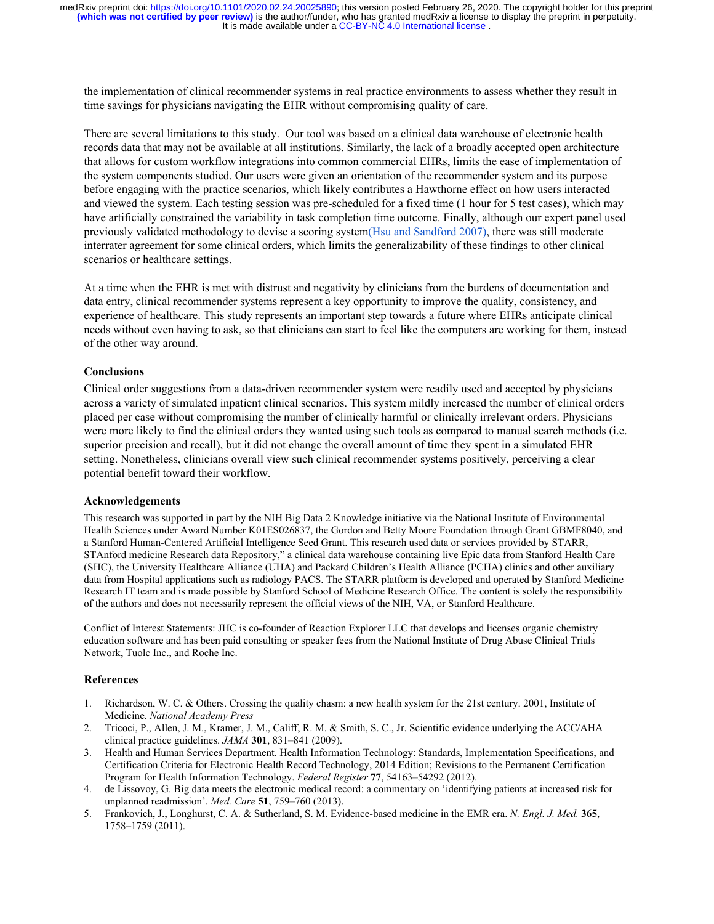It is made available under a CC-BY-NC 4.0 International license. **(which was not certified by peer review)** is the author/funder, who has granted medRxiv a license to display the preprint in perpetuity. medRxiv preprint doi: [https://doi.org/10.1101/2020.02.24.20025890;](https://doi.org/10.1101/2020.02.24.20025890) this version posted February 26, 2020. The copyright holder for this preprint

the implementation of clinical recommender systems in real practice environments to assess whether they result in time savings for physicians navigating the EHR without compromising quality of care.

There are several limitations to this study. Our tool was based on a clinical data warehouse of electronic health records data that may not be available at all institutions. Similarly, the lack of a broadly accepted open architecture that allows for custom workflow integrations into common commercial EHRs, limits the ease of implementation of the system components studied. Our users were given an orientation of the recommender system and its purpose before engaging with the practice scenarios, which likely contributes a Hawthorne effect on how users interacted and viewed the system. Each testing session was pre-scheduled for a fixed time (1 hour for 5 test cases), which may have artificially constrained the variability in task completion time outcome. Finally, although our expert panel used previously validated methodology to devise a scoring system[\(Hsu and Sandford 2007\)](https://paperpile.com/c/b8JmGL/27es), there was still moderate interrater agreement for some clinical orders, which limits the generalizability of these findings to other clinical scenarios or healthcare settings.

At a time when the EHR is met with distrust and negativity by clinicians from the burdens of documentation and data entry, clinical recommender systems represent a key opportunity to improve the quality, consistency, and experience of healthcare. This study represents an important step towards a future where EHRs anticipate clinical needs without even having to ask, so that clinicians can start to feel like the computers are working for them, instead of the other way around.

#### **Conclusions**

Clinical order suggestions from a data-driven recommender system were readily used and accepted by physicians across a variety of simulated inpatient clinical scenarios. This system mildly increased the number of clinical orders placed per case without compromising the number of clinically harmful or clinically irrelevant orders. Physicians were more likely to find the clinical orders they wanted using such tools as compared to manual search methods (i.e. superior precision and recall), but it did not change the overall amount of time they spent in a simulated EHR setting. Nonetheless, clinicians overall view such clinical recommender systems positively, perceiving a clear potential benefit toward their workflow.

#### **Acknowledgements**

This research was supported in part by the NIH Big Data 2 Knowledge initiative via the National Institute of Environmental Health Sciences under Award Number K01ES026837, the Gordon and Betty Moore Foundation through Grant GBMF8040, and a Stanford Human-Centered Artificial Intelligence Seed Grant. This research used data or services provided by STARR, STAnford medicine Research data Repository," a clinical data warehouse containing live Epic data from Stanford Health Care (SHC), the University Healthcare Alliance (UHA) and Packard Children's Health Alliance (PCHA) clinics and other auxiliary data from Hospital applications such as radiology PACS. The STARR platform is developed and operated by Stanford Medicine Research IT team and is made possible by Stanford School of Medicine Research Office. The content is solely the responsibility of the authors and does not necessarily represent the official views of the NIH, VA, or Stanford Healthcare.

Conflict of Interest Statements: JHC is co-founder of Reaction Explorer LLC that develops and licenses organic chemistry education software and has been paid consulting or speaker fees from the National Institute of Drug Abuse Clinical Trials Network, Tuolc Inc., and Roche Inc.

#### **References**

- 1. [Richardson, W. C. & Others. Crossing the quality chasm: a new health system for the 21st century. 2001, Institute of](http://paperpile.com/b/D3ERHt/ZqJ6) [Medicine.](http://paperpile.com/b/D3ERHt/ZqJ6) *[National Academy Press](http://paperpile.com/b/D3ERHt/ZqJ6)*
- 2. [Tricoci, P., Allen, J. M., Kramer, J. M., Califf, R. M. & Smith, S. C., Jr. Scientific evidence underlying the ACC/AHA](http://paperpile.com/b/D3ERHt/wdSZ) [clinical practice guidelines.](http://paperpile.com/b/D3ERHt/wdSZ) *[JAMA](http://paperpile.com/b/D3ERHt/wdSZ)* **[301](http://paperpile.com/b/D3ERHt/wdSZ)**[, 831–841 \(2009\).](http://paperpile.com/b/D3ERHt/wdSZ)
- 3. [Health and Human Services Department. Health Information Technology: Standards, Implementation Specifications, and](http://paperpile.com/b/D3ERHt/49cX) [Certification Criteria for Electronic Health Record Technology, 2014 Edition; Revisions to the Permanent Certification](http://paperpile.com/b/D3ERHt/49cX) [Program for Health Information Technology.](http://paperpile.com/b/D3ERHt/49cX) *[Federal Register](http://paperpile.com/b/D3ERHt/49cX)* **[77](http://paperpile.com/b/D3ERHt/49cX)**[, 54163–54292 \(2012\).](http://paperpile.com/b/D3ERHt/49cX)
- 4. [de Lissovoy, G. Big data meets the electronic medical record: a commentary on 'identifying patients at increased risk for](http://paperpile.com/b/D3ERHt/m2R7) [unplanned readmission'.](http://paperpile.com/b/D3ERHt/m2R7) *[Med. Care](http://paperpile.com/b/D3ERHt/m2R7)* **[51](http://paperpile.com/b/D3ERHt/m2R7)**[, 759–760 \(2013\).](http://paperpile.com/b/D3ERHt/m2R7)
- 5. [Frankovich, J., Longhurst, C. A. & Sutherland, S. M. Evidence-based medicine in the EMR era.](http://paperpile.com/b/D3ERHt/pU9u) *[N. Engl. J. Med.](http://paperpile.com/b/D3ERHt/pU9u)* **[365](http://paperpile.com/b/D3ERHt/pU9u)**[,](http://paperpile.com/b/D3ERHt/pU9u) [1758–1759 \(2011\).](http://paperpile.com/b/D3ERHt/pU9u)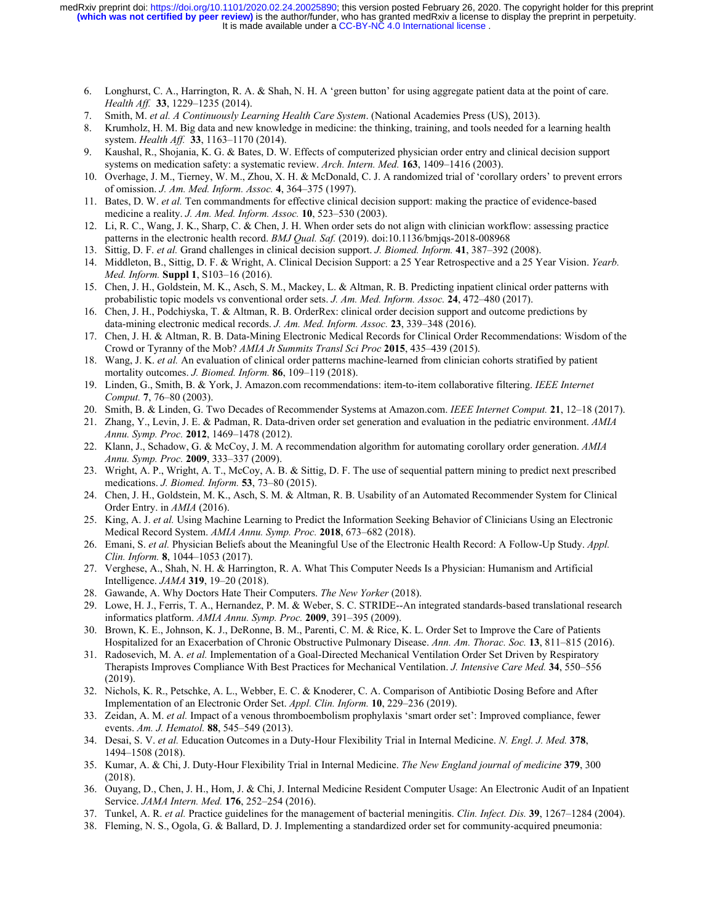It is made available under a CC-BY-NC 4.0 International license. **(which was not certified by peer review)** is the author/funder, who has granted medRxiv a license to display the preprint in perpetuity. medRxiv preprint doi: [https://doi.org/10.1101/2020.02.24.20025890;](https://doi.org/10.1101/2020.02.24.20025890) this version posted February 26, 2020. The copyright holder for this preprint

- 6. [Longhurst, C. A., Harrington, R. A. & Shah, N. H. A 'green button' for using aggregate patient data at the point of care.](http://paperpile.com/b/D3ERHt/Plj8) *[Health Aff.](http://paperpile.com/b/D3ERHt/Plj8)* **[33](http://paperpile.com/b/D3ERHt/Plj8)**[, 1229–1235 \(2014\).](http://paperpile.com/b/D3ERHt/Plj8)
- 7. [Smith, M.](http://paperpile.com/b/D3ERHt/XmCd) *[et al.](http://paperpile.com/b/D3ERHt/XmCd) [A Continuously Learning Health Care System](http://paperpile.com/b/D3ERHt/XmCd)*[. \(National Academies Press \(US\), 2013\).](http://paperpile.com/b/D3ERHt/XmCd)
- 8. [Krumholz, H. M. Big data and new knowledge in medicine: the thinking, training, and tools needed for a learning health](http://paperpile.com/b/D3ERHt/OxIZ) [system.](http://paperpile.com/b/D3ERHt/OxIZ) *[Health Aff.](http://paperpile.com/b/D3ERHt/OxIZ)* **[33](http://paperpile.com/b/D3ERHt/OxIZ)**[, 1163–1170 \(2014\).](http://paperpile.com/b/D3ERHt/OxIZ)
- 9. [Kaushal, R., Shojania, K. G. & Bates, D. W. Effects of computerized physician order entry and clinical decision support](http://paperpile.com/b/D3ERHt/6c4Y) [systems on medication safety: a systematic review.](http://paperpile.com/b/D3ERHt/6c4Y) *[Arch. Intern. Med.](http://paperpile.com/b/D3ERHt/6c4Y)* **[163](http://paperpile.com/b/D3ERHt/6c4Y)**[, 1409–1416 \(2003\).](http://paperpile.com/b/D3ERHt/6c4Y)
- 10. [Overhage, J. M., Tierney, W. M., Zhou, X. H. & McDonald, C. J. A randomized trial of 'corollary orders' to prevent errors](http://paperpile.com/b/D3ERHt/pl4V) [of omission.](http://paperpile.com/b/D3ERHt/pl4V) *[J. Am. Med. Inform. Assoc.](http://paperpile.com/b/D3ERHt/pl4V)* **[4](http://paperpile.com/b/D3ERHt/pl4V)**[, 364–375 \(1997\).](http://paperpile.com/b/D3ERHt/pl4V)
- 11. [Bates, D. W.](http://paperpile.com/b/D3ERHt/JYvP) *[et al.](http://paperpile.com/b/D3ERHt/JYvP)* [Ten commandments for effective clinical decision support: making the practice of evidence-based](http://paperpile.com/b/D3ERHt/JYvP) [medicine a reality.](http://paperpile.com/b/D3ERHt/JYvP) *[J. Am. Med. Inform. Assoc.](http://paperpile.com/b/D3ERHt/JYvP)* **[10](http://paperpile.com/b/D3ERHt/JYvP)**[, 523–530 \(2003\).](http://paperpile.com/b/D3ERHt/JYvP)
- 12. [Li, R. C., Wang, J. K., Sharp, C. & Chen, J. H. When order sets do not align with clinician workflow: assessing practice](http://paperpile.com/b/D3ERHt/mLP9) [patterns in the electronic health record.](http://paperpile.com/b/D3ERHt/mLP9) *[BMJ Qual. Saf.](http://paperpile.com/b/D3ERHt/mLP9)* [\(2019\). doi:](http://paperpile.com/b/D3ERHt/mLP9)[10.1136/bmjqs-2018-008968](http://dx.doi.org/10.1136/bmjqs-2018-008968)
- 13. [Sittig, D. F.](http://paperpile.com/b/D3ERHt/vHP9) *[et al.](http://paperpile.com/b/D3ERHt/vHP9)* [Grand challenges in clinical decision support.](http://paperpile.com/b/D3ERHt/vHP9) *[J. Biomed. Inform.](http://paperpile.com/b/D3ERHt/vHP9)* **[41](http://paperpile.com/b/D3ERHt/vHP9)**[, 387–392 \(2008\).](http://paperpile.com/b/D3ERHt/vHP9)
- 14. [Middleton, B., Sittig, D. F. & Wright, A. Clinical Decision Support: a 25 Year Retrospective and a 25 Year Vision.](http://paperpile.com/b/D3ERHt/nxaI) *[Yearb.](http://paperpile.com/b/D3ERHt/nxaI) [Med. Inform.](http://paperpile.com/b/D3ERHt/nxaI)* **[Suppl 1](http://paperpile.com/b/D3ERHt/nxaI)**[, S103–16 \(2016\).](http://paperpile.com/b/D3ERHt/nxaI)
- 15. [Chen, J. H., Goldstein, M. K., Asch, S. M., Mackey, L. & Altman, R. B. Predicting inpatient clinical order patterns with](http://paperpile.com/b/D3ERHt/kdRi) [probabilistic topic models vs conventional order sets.](http://paperpile.com/b/D3ERHt/kdRi) *[J. Am. Med. Inform. Assoc.](http://paperpile.com/b/D3ERHt/kdRi)* **[24](http://paperpile.com/b/D3ERHt/kdRi)**[, 472–480 \(2017\).](http://paperpile.com/b/D3ERHt/kdRi)
- 16. [Chen, J. H., Podchiyska, T. & Altman, R. B. OrderRex: clinical order decision support and outcome predictions by](http://paperpile.com/b/D3ERHt/Npt0) [data-mining electronic medical records.](http://paperpile.com/b/D3ERHt/Npt0) *[J. Am. Med. Inform. Assoc.](http://paperpile.com/b/D3ERHt/Npt0)* **[23](http://paperpile.com/b/D3ERHt/Npt0)**[, 339–348 \(2016\).](http://paperpile.com/b/D3ERHt/Npt0)
- 17. [Chen, J. H. & Altman, R. B. Data-Mining Electronic Medical Records for Clinical Order Recommendations: Wisdom of the](http://paperpile.com/b/D3ERHt/baVs) [Crowd or Tyranny of the Mob?](http://paperpile.com/b/D3ERHt/baVs) *[AMIA Jt Summits Transl Sci Proc](http://paperpile.com/b/D3ERHt/baVs)* **[2015](http://paperpile.com/b/D3ERHt/baVs)**[, 435–439 \(2015\).](http://paperpile.com/b/D3ERHt/baVs)
- 18. [Wang, J. K.](http://paperpile.com/b/D3ERHt/RZ3a) *[et al.](http://paperpile.com/b/D3ERHt/RZ3a)* [An evaluation of clinical order patterns machine-learned from clinician cohorts stratified by patient](http://paperpile.com/b/D3ERHt/RZ3a) [mortality outcomes.](http://paperpile.com/b/D3ERHt/RZ3a) *[J. Biomed. Inform.](http://paperpile.com/b/D3ERHt/RZ3a)* **[86](http://paperpile.com/b/D3ERHt/RZ3a)**[, 109–119 \(2018\).](http://paperpile.com/b/D3ERHt/RZ3a)
- 19. [Linden, G., Smith, B. & York, J. Amazon.com recommendations: item-to-item collaborative filtering.](http://paperpile.com/b/D3ERHt/dwaB) *[IEEE Internet](http://paperpile.com/b/D3ERHt/dwaB) [Comput.](http://paperpile.com/b/D3ERHt/dwaB)* **[7](http://paperpile.com/b/D3ERHt/dwaB)**[, 76–80 \(2003\).](http://paperpile.com/b/D3ERHt/dwaB)
- 20. [Smith, B. & Linden, G. Two Decades of Recommender Systems at Amazon.com.](http://paperpile.com/b/D3ERHt/uBRo) *[IEEE Internet Comput.](http://paperpile.com/b/D3ERHt/uBRo)* **[21](http://paperpile.com/b/D3ERHt/uBRo)**[, 12–18 \(2017\).](http://paperpile.com/b/D3ERHt/uBRo)
- 21. [Zhang, Y., Levin, J. E. & Padman, R. Data-driven order set generation and evaluation in the pediatric environment.](http://paperpile.com/b/D3ERHt/XPtQ) *[AMIA](http://paperpile.com/b/D3ERHt/XPtQ) [Annu. Symp. Proc.](http://paperpile.com/b/D3ERHt/XPtQ)* **[2012](http://paperpile.com/b/D3ERHt/XPtQ)**[, 1469–1478 \(2012\).](http://paperpile.com/b/D3ERHt/XPtQ)
- 22. [Klann, J., Schadow, G. & McCoy, J. M. A recommendation algorithm for automating corollary order generation.](http://paperpile.com/b/D3ERHt/C56M) *[AMIA](http://paperpile.com/b/D3ERHt/C56M) [Annu. Symp. Proc.](http://paperpile.com/b/D3ERHt/C56M)* **[2009](http://paperpile.com/b/D3ERHt/C56M)**[, 333–337 \(2009\).](http://paperpile.com/b/D3ERHt/C56M)
- 23. [Wright, A. P., Wright, A. T., McCoy, A. B. & Sittig, D. F. The use of sequential pattern mining to predict next prescribed](http://paperpile.com/b/D3ERHt/o9y4) [medications.](http://paperpile.com/b/D3ERHt/o9y4) *[J. Biomed. Inform.](http://paperpile.com/b/D3ERHt/o9y4)* **[53](http://paperpile.com/b/D3ERHt/o9y4)**[, 73–80 \(2015\).](http://paperpile.com/b/D3ERHt/o9y4)
- 24. [Chen, J. H., Goldstein, M. K., Asch, S. M. & Altman, R. B. Usability of an Automated Recommender System for Clinical](http://paperpile.com/b/D3ERHt/FluM) [Order Entry. in](http://paperpile.com/b/D3ERHt/FluM) *[AMIA](http://paperpile.com/b/D3ERHt/FluM)* [\(2016\).](http://paperpile.com/b/D3ERHt/FluM)
- 25. [King, A. J.](http://paperpile.com/b/D3ERHt/jtF9) *[et al.](http://paperpile.com/b/D3ERHt/jtF9)* [Using Machine Learning to Predict the Information Seeking Behavior of Clinicians Using an Electronic](http://paperpile.com/b/D3ERHt/jtF9) [Medical Record System.](http://paperpile.com/b/D3ERHt/jtF9) *[AMIA Annu. Symp. Proc.](http://paperpile.com/b/D3ERHt/jtF9)* **[2018](http://paperpile.com/b/D3ERHt/jtF9)**[, 673–682 \(2018\).](http://paperpile.com/b/D3ERHt/jtF9)
- 26. [Emani, S.](http://paperpile.com/b/D3ERHt/K7Tl) *[et al.](http://paperpile.com/b/D3ERHt/K7Tl)* [Physician Beliefs about the Meaningful Use of the Electronic Health Record: A Follow-Up Study.](http://paperpile.com/b/D3ERHt/K7Tl) *[Appl.](http://paperpile.com/b/D3ERHt/K7Tl) [Clin. Inform.](http://paperpile.com/b/D3ERHt/K7Tl)* **[8](http://paperpile.com/b/D3ERHt/K7Tl)**[, 1044–1053 \(2017\).](http://paperpile.com/b/D3ERHt/K7Tl)
- 27. [Verghese, A., Shah, N. H. & Harrington, R. A. What This Computer Needs Is a Physician: Humanism and Artificial](http://paperpile.com/b/D3ERHt/t6oM) [Intelligence.](http://paperpile.com/b/D3ERHt/t6oM) *[JAMA](http://paperpile.com/b/D3ERHt/t6oM)* **[319](http://paperpile.com/b/D3ERHt/t6oM)**[, 19–20 \(2018\).](http://paperpile.com/b/D3ERHt/t6oM)
- 28. [Gawande, A. Why Doctors Hate Their Computers.](http://paperpile.com/b/D3ERHt/Gi4b) *[The New Yorker](http://paperpile.com/b/D3ERHt/Gi4b)* [\(2018\).](http://paperpile.com/b/D3ERHt/Gi4b)
- 29. [Lowe, H. J., Ferris, T. A., Hernandez, P. M. & Weber, S. C. STRIDE--An integrated standards-based translational research](http://paperpile.com/b/D3ERHt/jg57) [informatics platform.](http://paperpile.com/b/D3ERHt/jg57) *[AMIA Annu. Symp. Proc.](http://paperpile.com/b/D3ERHt/jg57)* **[2009](http://paperpile.com/b/D3ERHt/jg57)**[, 391–395 \(2009\).](http://paperpile.com/b/D3ERHt/jg57)
- 30. [Brown, K. E., Johnson, K. J., DeRonne, B. M., Parenti, C. M. & Rice, K. L. Order Set to Improve the Care of Patients](http://paperpile.com/b/D3ERHt/6LtJ) [Hospitalized for an Exacerbation of Chronic Obstructive Pulmonary Disease.](http://paperpile.com/b/D3ERHt/6LtJ) *[Ann. Am. Thorac. Soc.](http://paperpile.com/b/D3ERHt/6LtJ)* **[13](http://paperpile.com/b/D3ERHt/6LtJ)**[, 811–815 \(2016\).](http://paperpile.com/b/D3ERHt/6LtJ)
- 31. [Radosevich, M. A.](http://paperpile.com/b/D3ERHt/UYTp) *[et al.](http://paperpile.com/b/D3ERHt/UYTp)* [Implementation of a Goal-Directed Mechanical Ventilation Order Set Driven by Respiratory](http://paperpile.com/b/D3ERHt/UYTp) [Therapists Improves Compliance With Best Practices for Mechanical Ventilation.](http://paperpile.com/b/D3ERHt/UYTp) *[J. Intensive Care Med.](http://paperpile.com/b/D3ERHt/UYTp)* **[34](http://paperpile.com/b/D3ERHt/UYTp)**[, 550–556](http://paperpile.com/b/D3ERHt/UYTp) [\(2019\).](http://paperpile.com/b/D3ERHt/UYTp)
- 32. [Nichols, K. R., Petschke, A. L., Webber, E. C. & Knoderer, C. A. Comparison of Antibiotic Dosing Before and After](http://paperpile.com/b/D3ERHt/Y8HC) [Implementation of an Electronic Order Set.](http://paperpile.com/b/D3ERHt/Y8HC) *[Appl. Clin. Inform.](http://paperpile.com/b/D3ERHt/Y8HC)* **[10](http://paperpile.com/b/D3ERHt/Y8HC)**[, 229–236 \(2019\).](http://paperpile.com/b/D3ERHt/Y8HC)
- 33. [Zeidan, A. M.](http://paperpile.com/b/D3ERHt/GM9S) *[et al.](http://paperpile.com/b/D3ERHt/GM9S)* [Impact of a venous thromboembolism prophylaxis 'smart order set': Improved compliance, fewer](http://paperpile.com/b/D3ERHt/GM9S) [events.](http://paperpile.com/b/D3ERHt/GM9S) *[Am. J. Hematol.](http://paperpile.com/b/D3ERHt/GM9S)* **[88](http://paperpile.com/b/D3ERHt/GM9S)**[, 545–549 \(2013\).](http://paperpile.com/b/D3ERHt/GM9S)
- 34. [Desai, S. V.](http://paperpile.com/b/D3ERHt/W1kA) *[et al.](http://paperpile.com/b/D3ERHt/W1kA)* [Education Outcomes in a Duty-Hour Flexibility Trial in Internal Medicine.](http://paperpile.com/b/D3ERHt/W1kA) *[N. Engl. J. Med.](http://paperpile.com/b/D3ERHt/W1kA)* **[378](http://paperpile.com/b/D3ERHt/W1kA)**[,](http://paperpile.com/b/D3ERHt/W1kA) [1494–1508 \(2018\).](http://paperpile.com/b/D3ERHt/W1kA)
- 35. [Kumar, A. & Chi, J. Duty-Hour Flexibility Trial in Internal Medicine.](http://paperpile.com/b/D3ERHt/KJxH) *[The New England journal of medicine](http://paperpile.com/b/D3ERHt/KJxH)* **[379](http://paperpile.com/b/D3ERHt/KJxH)**[, 300](http://paperpile.com/b/D3ERHt/KJxH) [\(2018\).](http://paperpile.com/b/D3ERHt/KJxH)
- 36. [Ouyang, D., Chen, J. H., Hom, J. & Chi, J. Internal Medicine Resident Computer Usage: An Electronic Audit of an Inpatient](http://paperpile.com/b/D3ERHt/9QvY) [Service.](http://paperpile.com/b/D3ERHt/9QvY) *[JAMA Intern. Med.](http://paperpile.com/b/D3ERHt/9QvY)* **[176](http://paperpile.com/b/D3ERHt/9QvY)**[, 252–254 \(2016\).](http://paperpile.com/b/D3ERHt/9QvY)
- 37. [Tunkel, A. R.](http://paperpile.com/b/D3ERHt/0Lzg) *[et al.](http://paperpile.com/b/D3ERHt/0Lzg)* [Practice guidelines for the management of bacterial meningitis.](http://paperpile.com/b/D3ERHt/0Lzg) *[Clin. Infect. Dis.](http://paperpile.com/b/D3ERHt/0Lzg)* **[39](http://paperpile.com/b/D3ERHt/0Lzg)**[, 1267–1284 \(2004\).](http://paperpile.com/b/D3ERHt/0Lzg)
- 38. [Fleming, N. S., Ogola, G. & Ballard, D. J. Implementing a standardized order set for community-acquired pneumonia:](http://paperpile.com/b/D3ERHt/xhY8)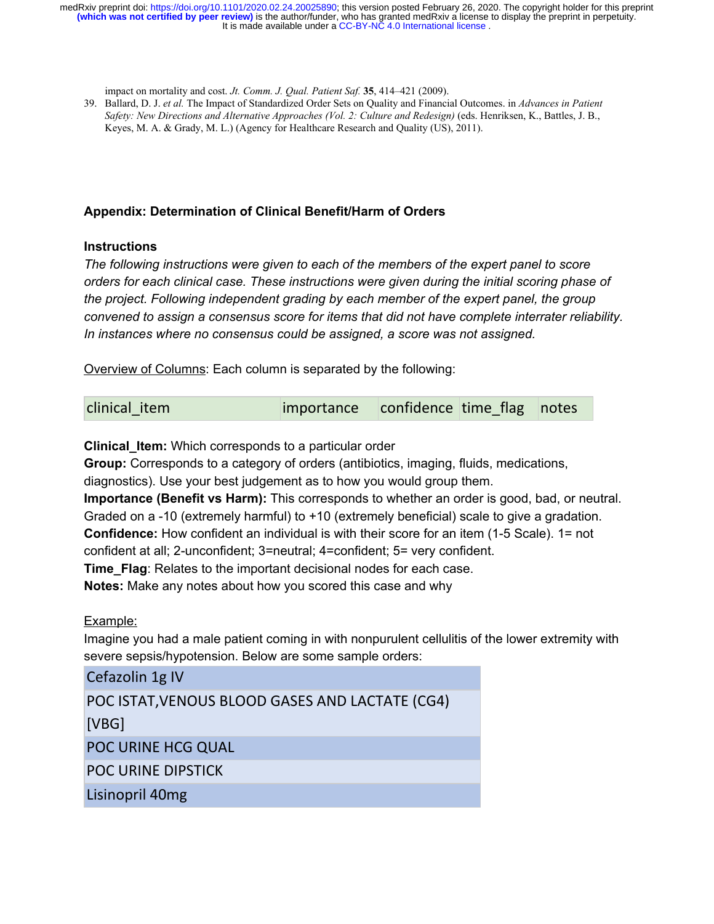It is made available under a CC-BY-NC 4.0 International license. **(which was not certified by peer review)** is the author/funder, who has granted medRxiv a license to display the preprint in perpetuity. medRxiv preprint doi: [https://doi.org/10.1101/2020.02.24.20025890;](https://doi.org/10.1101/2020.02.24.20025890) this version posted February 26, 2020. The copyright holder for this preprint

[impact on mortality and cost.](http://paperpile.com/b/D3ERHt/xhY8) *[Jt. Comm. J. Qual. Patient Saf.](http://paperpile.com/b/D3ERHt/xhY8)* **[35](http://paperpile.com/b/D3ERHt/xhY8)**[, 414–421 \(2009\).](http://paperpile.com/b/D3ERHt/xhY8)

39. [Ballard, D. J.](http://paperpile.com/b/D3ERHt/xzBX) *[et al.](http://paperpile.com/b/D3ERHt/xzBX)* [The Impact of Standardized Order Sets on Quality and Financial Outcomes. in](http://paperpile.com/b/D3ERHt/xzBX) *[Advances in Patient](http://paperpile.com/b/D3ERHt/xzBX) [Safety: New Directions and Alternative Approaches \(Vol. 2: Culture and Redesign\)](http://paperpile.com/b/D3ERHt/xzBX)* [\(eds. Henriksen, K., Battles, J. B.,](http://paperpile.com/b/D3ERHt/xzBX) [Keyes, M. A. & Grady, M. L.\) \(Agency for Healthcare Research and Quality \(US\), 2011\).](http://paperpile.com/b/D3ERHt/xzBX)

## **Appendix: Determination of Clinical Benefit/Harm of Orders**

## **Instructions**

*The following instructions were given to each of the members of the expert panel to score orders for each clinical case. These instructions were given during the initial scoring phase of the project. Following independent grading by each member of the expert panel, the group convened to assign a consensus score for items that did not have complete interrater reliability. In instances where no consensus could be assigned, a score was not assigned.*

Overview of Columns: Each column is separated by the following:

**Clinical\_Item:** Which corresponds to a particular order

**Group:** Corresponds to a category of orders (antibiotics, imaging, fluids, medications,

diagnostics). Use your best judgement as to how you would group them.

**Importance (Benefit vs Harm):** This corresponds to whether an order is good, bad, or neutral. Graded on a -10 (extremely harmful) to +10 (extremely beneficial) scale to give a gradation.

**Confidence:** How confident an individual is with their score for an item (1-5 Scale). 1= not

confident at all; 2-unconfident; 3=neutral; 4=confident; 5= very confident.

**Time Flag:** Relates to the important decisional nodes for each case.

**Notes:** Make any notes about how you scored this case and why

Example:

Imagine you had a male patient coming in with nonpurulent cellulitis of the lower extremity with severe sepsis/hypotension. Below are some sample orders: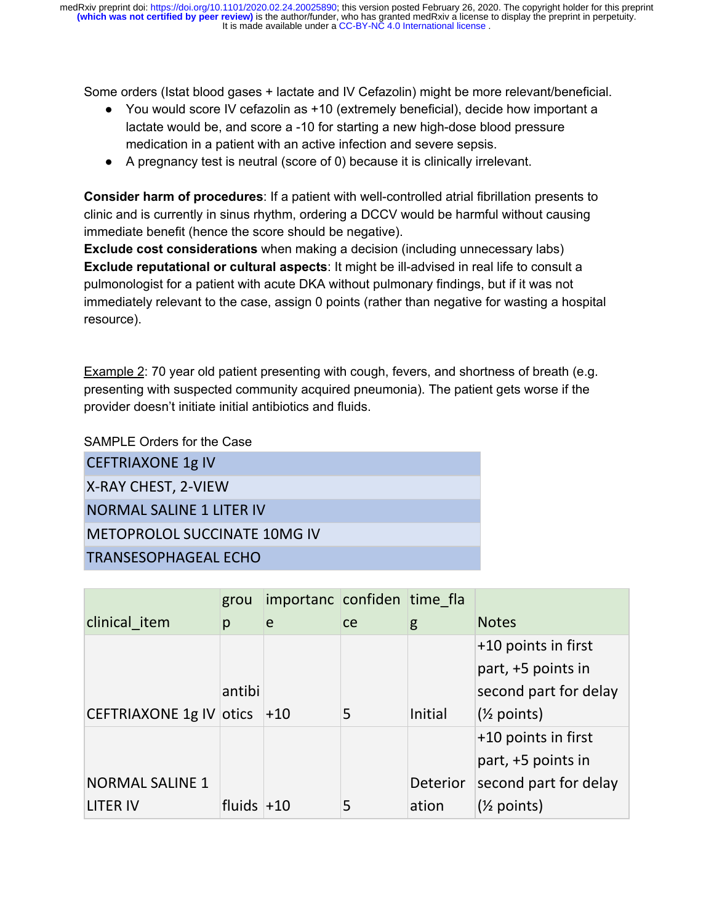Some orders (Istat blood gases + lactate and IV Cefazolin) might be more relevant/beneficial.

- You would score IV cefazolin as +10 (extremely beneficial), decide how important a lactate would be, and score a -10 for starting a new high-dose blood pressure medication in a patient with an active infection and severe sepsis.
- A pregnancy test is neutral (score of 0) because it is clinically irrelevant.

**Consider harm of procedures**: If a patient with well-controlled atrial fibrillation presents to clinic and is currently in sinus rhythm, ordering a DCCV would be harmful without causing immediate benefit (hence the score should be negative).

**Exclude cost considerations** when making a decision (including unnecessary labs) **Exclude reputational or cultural aspects**: It might be ill-advised in real life to consult a pulmonologist for a patient with acute DKA without pulmonary findings, but if it was not immediately relevant to the case, assign 0 points (rather than negative for wasting a hospital resource).

Example 2: 70 year old patient presenting with cough, fevers, and shortness of breath (e.g. presenting with suspected community acquired pneumonia). The patient gets worse if the provider doesn't initiate initial antibiotics and fluids.

SAMPLE Orders for the Case

| <b>CEFTRIAXONE 1g IV</b>            |
|-------------------------------------|
| X-RAY CHEST, 2-VIEW                 |
| NORMAL SALINE 1 LITER IV            |
| <b>METOPROLOL SUCCINATE 10MG IV</b> |
| <b>TRANSESOPHAGEAL ECHO</b>         |

|                               | grou         | importanc confiden time fla |               |                 |                        |
|-------------------------------|--------------|-----------------------------|---------------|-----------------|------------------------|
| clinical item                 | p            | e                           | <sub>ce</sub> | g               | <b>Notes</b>           |
|                               |              |                             |               |                 | $+10$ points in first  |
|                               |              |                             |               |                 | part, +5 points in     |
|                               | antibi       |                             |               |                 | second part for delay  |
| CEFTRIAXONE 1g IV otics $+10$ |              |                             | 5             | Initial         | $(\frac{1}{2}$ points) |
|                               |              |                             |               |                 | +10 points in first    |
|                               |              |                             |               |                 | part, +5 points in     |
| <b>NORMAL SALINE 1</b>        |              |                             |               | <b>Deterior</b> | second part for delay  |
| LITER IV                      | fluids $+10$ |                             | 5             | ation           | $(\frac{1}{2}$ points) |